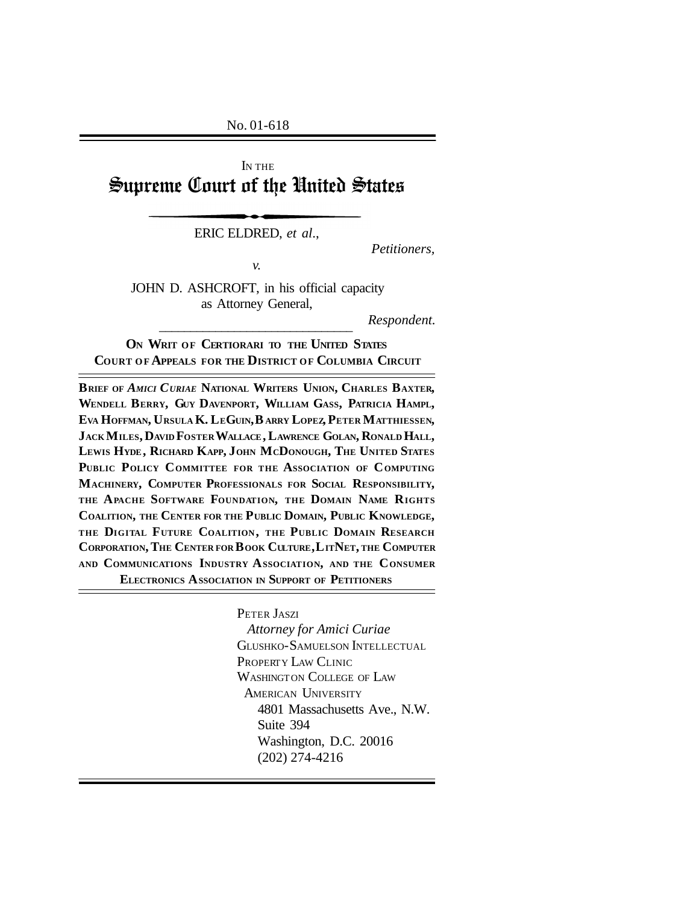No. 01-618

# I<sup>N</sup> THE Supreme Court of the United States

ERIC ELDRED, *et al*.,

*Petitioners,*

*v.*

JOHN D. ASHCROFT, in his official capacity as Attorney General,

*Respondent.*

**O<sup>N</sup> WRIT OF CERTIORARI TO THE UNITED STATES COURT OF APPEALS FOR THE DISTRICT OF COLUMBIA CIRCUIT**

\_\_\_\_\_\_\_\_\_\_\_\_\_\_\_\_\_\_\_\_\_\_\_\_\_\_\_\_\_\_\_

**BRIEF OF** *AMICI CURIAE* **NATIONAL WRITERS UNION, CHARLES BAXTER, WENDELL BERRY, GUY DAVENPORT, WILLIAM GASS, PATRICIA HAMPL, EVA HOFFMAN, URSULA K. LEGUIN, B ARRY LOPEZ, PETER MATTHIESSEN, JACK MILES, DAVID FOSTERWALLACE, LAWRENCE GOLAN, RONALD HALL, LEWIS HYDE, RICHARD KAPP, JOHN MCDONOUGH, THE UNITED STATES PUBLIC POLICY COMMITTEE FOR THE ASSOCIATION OF COMPUTING MACHINERY, COMPUTER PROFESSIONALS FOR SOCIAL RESPONSIBILITY, THE APACHE SOFTWARE FOUNDATION, THE DOMAIN NAME RIGHTS COALITION, THE CENTER FOR THE PUBLIC DOMAIN, PUBLIC KNOWLEDGE, THE DIGITAL FUTURE COALITION , THE PUBLIC DOMAIN RESEARCH CORPORATION, THE CENTER FOR BOOK CULTURE, LITNET, THE COMPUTER AND COMMUNICATIONS INDUSTRY ASSOCIATION, AND THE CONSUMER ELECTRONICS ASSOCIATION IN SUPPORT OF PETITIONERS**

> PETER JASZI *Attorney for Amici Curiae* GLUSHKO-SAMUELSON INTELLECTUAL PROPERTY LAW CLINIC WASHINGT ON COLLEGE OF LAW AMERICAN UNIVERSITY 4801 Massachusetts Ave., N.W. Suite 394 Washington, D.C. 20016 (202) 274-4216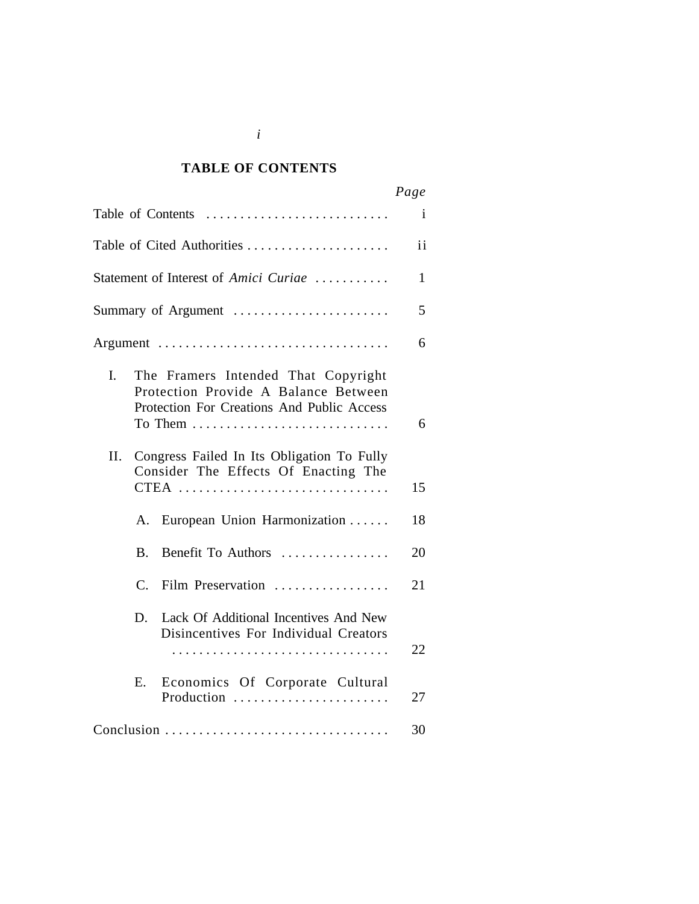### *Cited Authorities* **TABLE OF CONTENTS**

|                                                                                                                                 | Page         |
|---------------------------------------------------------------------------------------------------------------------------------|--------------|
| Table of Contents                                                                                                               | <sup>i</sup> |
| Table of Cited Authorities                                                                                                      | ii           |
| Statement of Interest of Amici Curiae                                                                                           | 1            |
| Summary of Argument                                                                                                             | 5            |
| Argument                                                                                                                        | 6            |
| I.<br>The Framers Intended That Copyright<br>Protection Provide A Balance Between<br>Protection For Creations And Public Access | 6            |
| II.<br>Congress Failed In Its Obligation To Fully<br>Consider The Effects Of Enacting The<br>CTEA                               | 15           |
| European Union Harmonization<br>A.                                                                                              | 18           |
| <b>B.</b><br>Benefit To Authors                                                                                                 | 20           |
| Film Preservation<br>C.                                                                                                         | 21           |
| Lack Of Additional Incentives And New<br>D.<br>Disincentives For Individual Creators                                            | 22           |
| Economics Of Corporate Cultural<br>Е.<br>Production                                                                             | 27           |
| Conclusion                                                                                                                      | 30           |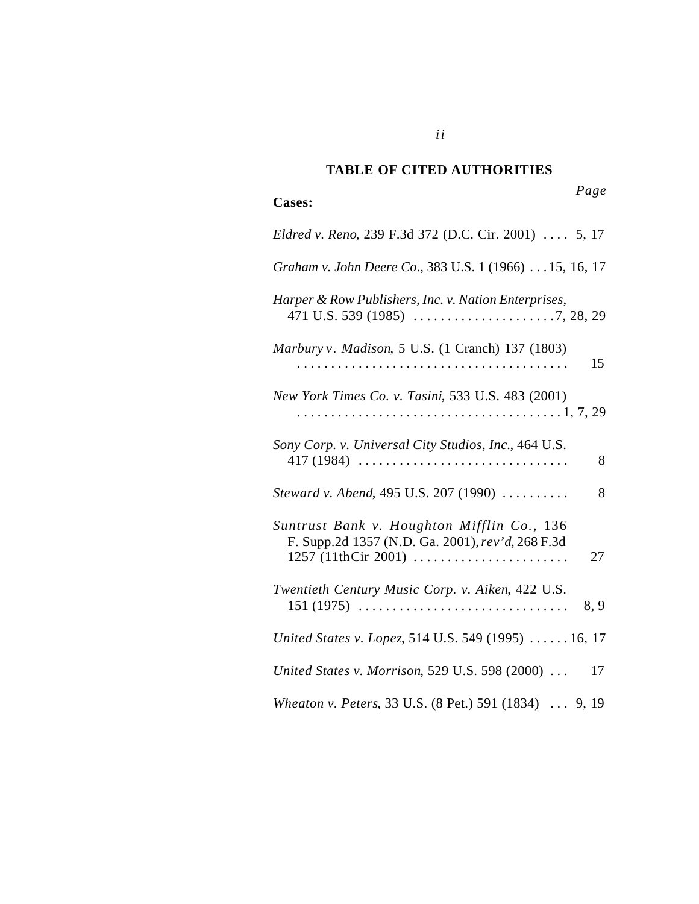### *Cited Authorities* **TABLE OF CITED AUTHORITIES**

# *Page* **Cases:** *Eldred v. Reno*, 239 F.3d 372 (D.C. Cir. 2001) . . . . 5, 17 *Graham v. John Deere Co*., 383 U.S. 1 (1966) . . .15, 16, 17 *Harper & Row Publishers, Inc. v. Nation Enterprises*, 471 U.S. 539 (1985) . . . . . . . . . . . . . . . . . . . . .7, 28, 29 *Marbury v*. *Madison*, 5 U.S. (1 Cranch) 137 (1803) . . . . . . . . . . . . . . . . . . . . . . . . . . . . . . . . . . . . . . . . 15 *New York Times Co. v. Tasini*, 533 U.S. 483 (2001) . . . . . . . . . . . . . . . . . . . . . . . . . . . . . . . . . . . . . . . 1, 7, 29 *Sony Corp. v. Universal City Studios, Inc.*, 464 U.S. 417 (1984) . . . . . . . . . . . . . . . . . . . . . . . . . . . . . . . 8 *Steward v. Abend*, 495 U.S. 207 (1990) . . . . . . . . . . 8 *Suntrust Bank v. Houghton Mifflin Co.*, 136 F. Supp.2d 1357 (N.D. Ga. 2001), *rev'd*, 268 F.3d 1257 (11thCir 2001) . . . . . . . . . . . . . . . . . . . . . . . 27 *Twentieth Century Music Corp. v. Aiken*, 422 U.S. 151 (1975) . . . . . . . . . . . . . . . . . . . . . . . . . . . . . . . 8, 9 *United States v. Lopez*, 514 U.S. 549 (1995) . . . . . . 16, 17 *United States v. Morrison*, 529 U.S. 598 (2000) . . . 17 *Wheaton v. Peters*, 33 U.S. (8 Pet.) 591 (1834) . . . 9, 19

#### *ii*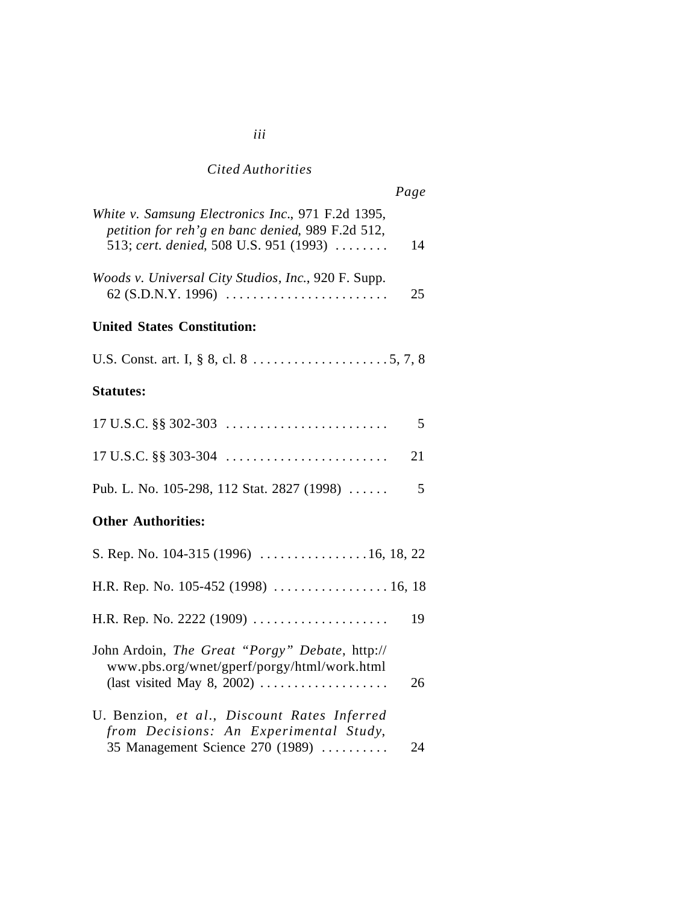|                                                                                                                                                 | Page |
|-------------------------------------------------------------------------------------------------------------------------------------------------|------|
| White v. Samsung Electronics Inc., 971 F.2d 1395,<br>petition for reh'g en banc denied, 989 F.2d 512,<br>513; cert. denied, 508 U.S. 951 (1993) | 14   |
| Woods v. Universal City Studios, Inc., 920 F. Supp.<br>62 (S.D.N.Y. 1996)                                                                       | 25   |
| <b>United States Constitution:</b>                                                                                                              |      |
|                                                                                                                                                 |      |
| <b>Statutes:</b>                                                                                                                                |      |
|                                                                                                                                                 | 5    |
|                                                                                                                                                 | 21   |
| Pub. L. No. 105-298, 112 Stat. 2827 (1998)                                                                                                      | 5    |
| <b>Other Authorities:</b>                                                                                                                       |      |
| S. Rep. No. 104-315 (1996) 16, 18, 22                                                                                                           |      |
|                                                                                                                                                 |      |
| H.R. Rep. No. 2222 (1909)                                                                                                                       | 19   |
| John Ardoin, The Great "Porgy" Debate, http://<br>www.pbs.org/wnet/gperf/porgy/html/work.html<br>(last visited May 8, 2002) $\ldots$            | 26   |
| II Renzion et al Discount Rates Inferred                                                                                                        |      |

| U. Benzion, et al., Discount Rates Inferred |    |
|---------------------------------------------|----|
| from Decisions: An Experimental Study,      |    |
| 35 Management Science 270 (1989)            | 24 |

# *iii*

# $\overline{p}$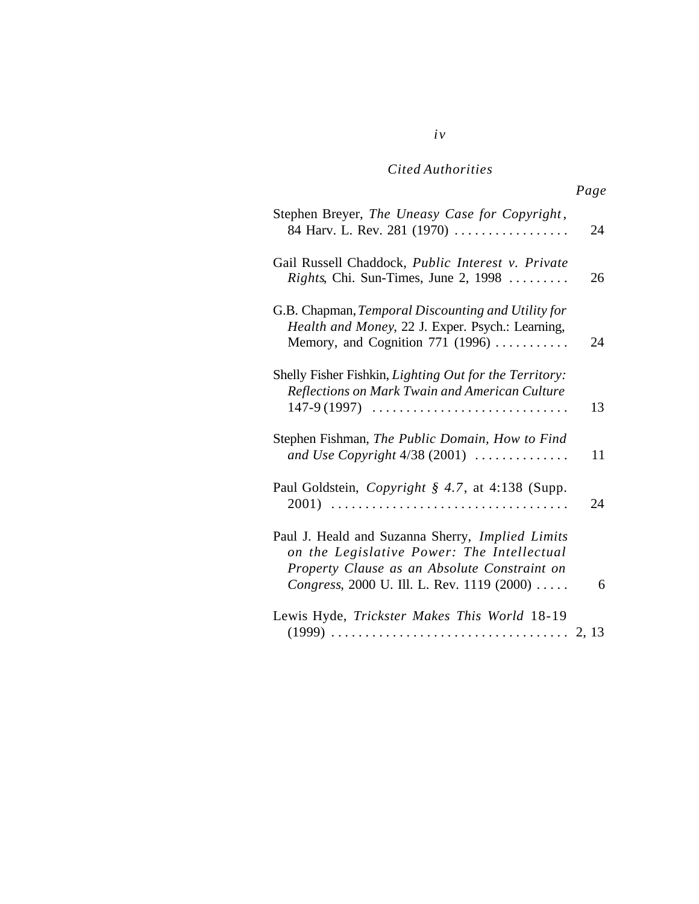*iv*

| Stephen Breyer, The Uneasy Case for Copyright,<br>84 Harv. L. Rev. 281 (1970)                                                                                                                | 24 |
|----------------------------------------------------------------------------------------------------------------------------------------------------------------------------------------------|----|
| Gail Russell Chaddock, Public Interest v. Private<br>Rights, Chi. Sun-Times, June 2, 1998                                                                                                    | 26 |
| G.B. Chapman, Temporal Discounting and Utility for<br>Health and Money, 22 J. Exper. Psych.: Learning,<br>Memory, and Cognition 771 (1996) $\dots$                                           | 24 |
| Shelly Fisher Fishkin, Lighting Out for the Territory:<br>Reflections on Mark Twain and American Culture                                                                                     | 13 |
| Stephen Fishman, The Public Domain, How to Find<br>and Use Copyright $4/38(2001)$                                                                                                            | 11 |
| Paul Goldstein, Copyright § 4.7, at 4:138 (Supp.                                                                                                                                             | 24 |
| Paul J. Heald and Suzanna Sherry, Implied Limits<br>on the Legislative Power: The Intellectual<br>Property Clause as an Absolute Constraint on<br>Congress, 2000 U. Ill. L. Rev. 1119 (2000) | 6  |
| Lewis Hyde, Trickster Makes This World 18-19                                                                                                                                                 |    |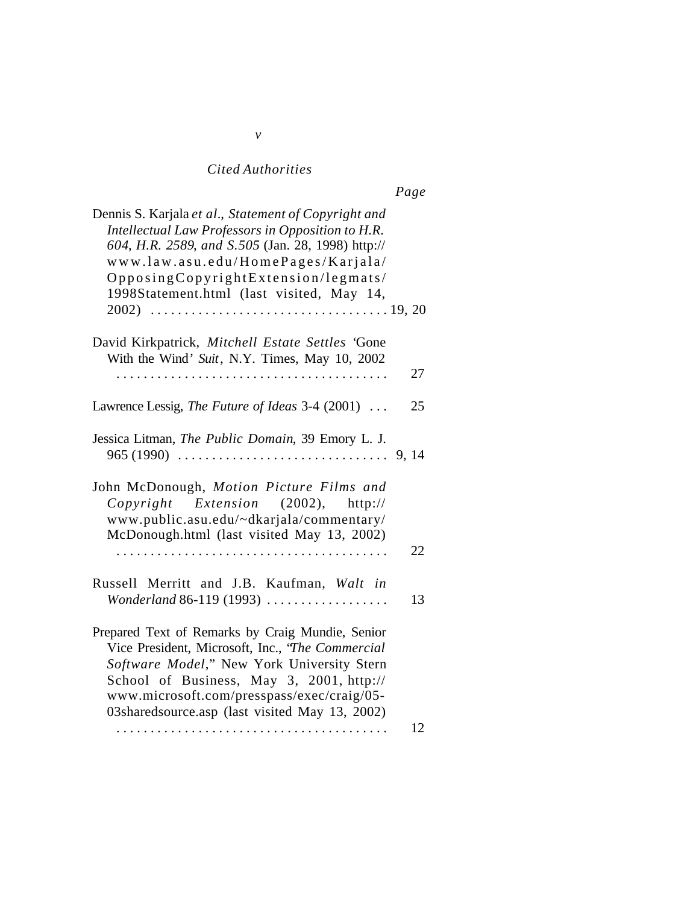# *Page*

| Dennis S. Karjala et al., Statement of Copyright and<br>Intellectual Law Professors in Opposition to H.R.<br>604, H.R. 2589, and S.505 (Jan. 28, 1998) http://<br>www.law.asu.edu/HomePages/Karjala/<br>OpposingCopyrightExtension/legmats/<br>1998Statement.html (last visited, May 14,       |       |
|------------------------------------------------------------------------------------------------------------------------------------------------------------------------------------------------------------------------------------------------------------------------------------------------|-------|
| David Kirkpatrick, Mitchell Estate Settles 'Gone<br>With the Wind' Suit, N.Y. Times, May 10, 2002                                                                                                                                                                                              | 27    |
|                                                                                                                                                                                                                                                                                                |       |
| Lawrence Lessig, The Future of Ideas 3-4 (2001)                                                                                                                                                                                                                                                | 25    |
| Jessica Litman, The Public Domain, 39 Emory L. J.                                                                                                                                                                                                                                              | 9, 14 |
| John McDonough, Motion Picture Films and<br>Copyright Extension (2002), http://<br>www.public.asu.edu/~dkarjala/commentary/<br>McDonough.html (last visited May 13, 2002)                                                                                                                      |       |
|                                                                                                                                                                                                                                                                                                | 22    |
| Russell Merritt and J.B. Kaufman, Walt in<br>Wonderland 86-119 (1993)                                                                                                                                                                                                                          | 13    |
| Prepared Text of Remarks by Craig Mundie, Senior<br>Vice President, Microsoft, Inc., 'The Commercial<br>Software Model," New York University Stern<br>School of Business, May 3, 2001, http://<br>www.microsoft.com/presspass/exec/craig/05-<br>03sharedsource.asp (last visited May 13, 2002) |       |
|                                                                                                                                                                                                                                                                                                | 12    |

*v*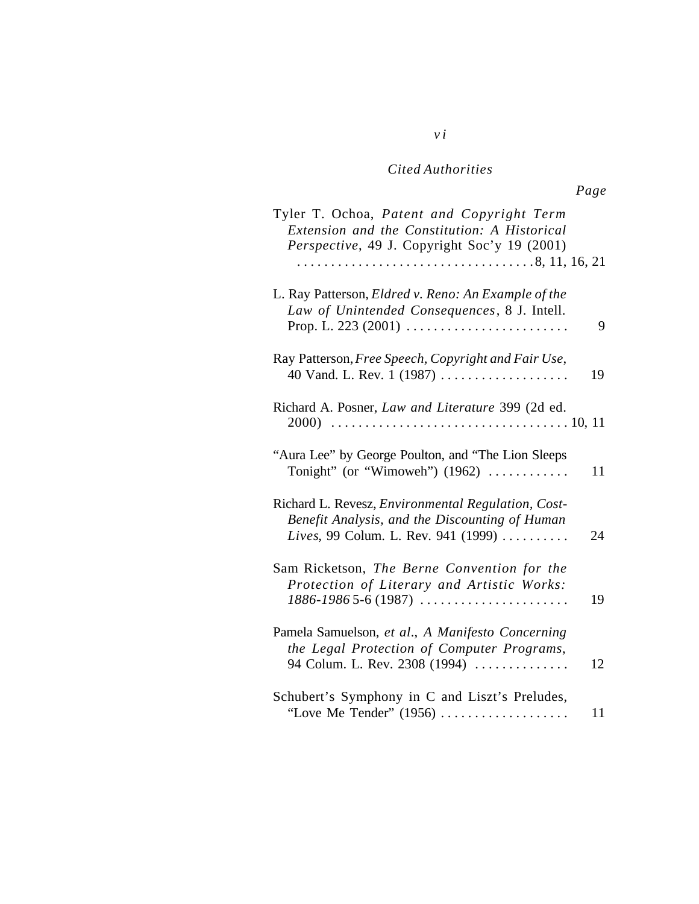*v i*

| Tyler T. Ochoa, Patent and Copyright Term<br>Extension and the Constitution: A Historical<br>Perspective, 49 J. Copyright Soc'y 19 (2001)                                     |    |
|-------------------------------------------------------------------------------------------------------------------------------------------------------------------------------|----|
|                                                                                                                                                                               |    |
| L. Ray Patterson, Eldred v. Reno: An Example of the<br>Law of Unintended Consequences, 8 J. Intell.<br>Prop. L. 223 (2001) $\ldots \ldots \ldots \ldots \ldots \ldots \ldots$ | 9  |
| Ray Patterson, Free Speech, Copyright and Fair Use,<br>40 Vand. L. Rev. 1 (1987)                                                                                              | 19 |
| Richard A. Posner, Law and Literature 399 (2d ed.                                                                                                                             |    |
| "Aura Lee" by George Poulton, and "The Lion Sleeps<br>Tonight" (or "Wimoweh") $(1962)$                                                                                        | 11 |
| Richard L. Revesz, Environmental Regulation, Cost-<br>Benefit Analysis, and the Discounting of Human<br>Lives, 99 Colum. L. Rev. 941 (1999)                                   | 24 |
| Sam Ricketson, The Berne Convention for the<br>Protection of Literary and Artistic Works:<br>$1886 - 19865 - 6(1987)$                                                         | 19 |
| Pamela Samuelson, et al., A Manifesto Concerning<br>the Legal Protection of Computer Programs,<br>94 Colum. L. Rev. 2308 (1994)                                               | 12 |
| Schubert's Symphony in C and Liszt's Preludes,<br>"Love Me Tender" $(1956)$                                                                                                   | 11 |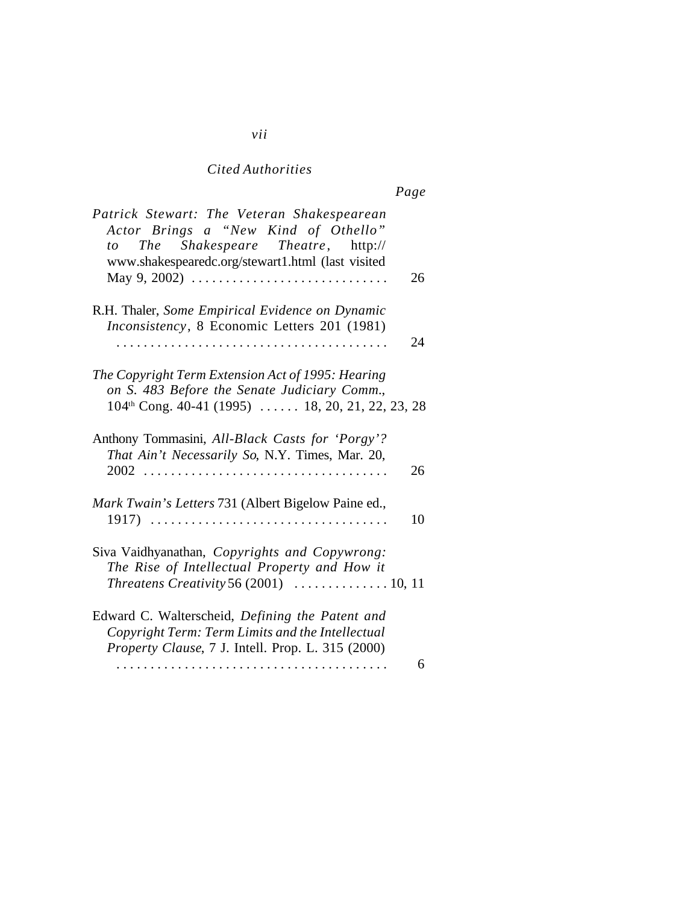# *Page*

| Patrick Stewart: The Veteran Shakespearean<br>Actor Brings a "New Kind of Othello"<br>to The Shakespeare Theatre, http://<br>www.shakespearedc.org/stewart1.html (last visited |    |
|--------------------------------------------------------------------------------------------------------------------------------------------------------------------------------|----|
| May 9, 2002) $\ldots \ldots \ldots \ldots \ldots \ldots \ldots \ldots \ldots$                                                                                                  | 26 |
| R.H. Thaler, Some Empirical Evidence on Dynamic<br>Inconsistency, 8 Economic Letters 201 (1981)                                                                                | 24 |
|                                                                                                                                                                                |    |
| The Copyright Term Extension Act of 1995: Hearing<br>on S. 483 Before the Senate Judiciary Comm.,<br>104 <sup>th</sup> Cong. 40-41 (1995)  18, 20, 21, 22, 23, 28              |    |
| Anthony Tommasini, All-Black Casts for 'Porgy'?<br>That Ain't Necessarily So, N.Y. Times, Mar. 20,                                                                             | 26 |
| Mark Twain's Letters 731 (Albert Bigelow Paine ed.,                                                                                                                            | 10 |
| Siva Vaidhyanathan, Copyrights and Copywrong:<br>The Rise of Intellectual Property and How it                                                                                  |    |
| Edward C. Walterscheid, Defining the Patent and<br>Copyright Term: Term Limits and the Intellectual<br>Property Clause, 7 J. Intell. Prop. L. 315 (2000)                       |    |
|                                                                                                                                                                                | 6  |

### *vii*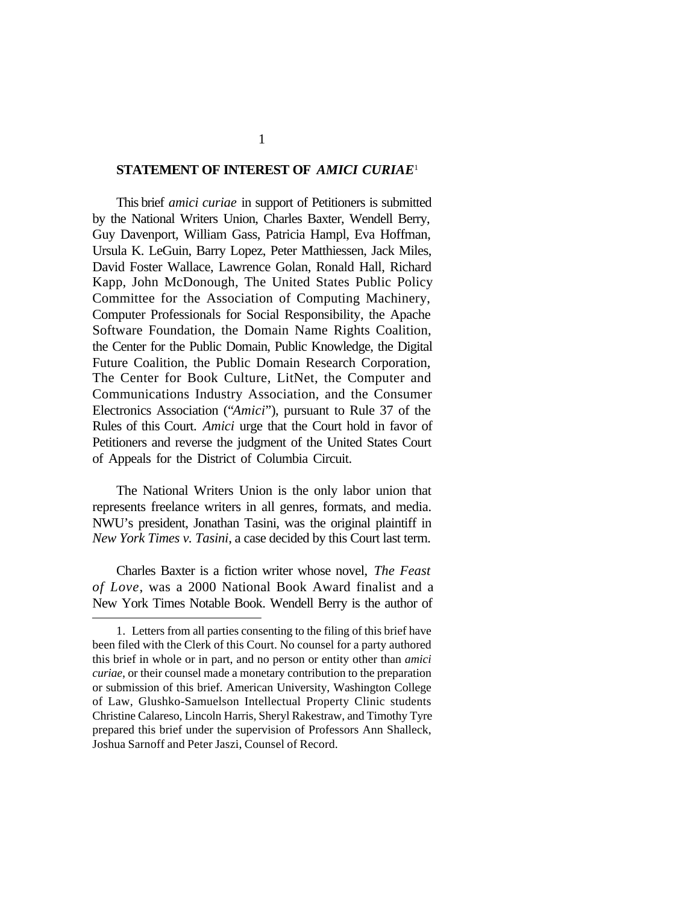#### **STATEMENT OF INTEREST OF** *AMICI CURIAE*<sup>1</sup>

This brief *amici curiae* in support of Petitioners is submitted by the National Writers Union, Charles Baxter, Wendell Berry, Guy Davenport, William Gass, Patricia Hampl, Eva Hoffman, Ursula K. LeGuin, Barry Lopez, Peter Matthiessen, Jack Miles, David Foster Wallace, Lawrence Golan, Ronald Hall, Richard Kapp, John McDonough, The United States Public Policy Committee for the Association of Computing Machinery, Computer Professionals for Social Responsibility, the Apache Software Foundation, the Domain Name Rights Coalition, the Center for the Public Domain, Public Knowledge, the Digital Future Coalition, the Public Domain Research Corporation, The Center for Book Culture, LitNet, the Computer and Communications Industry Association, and the Consumer Electronics Association ("*Amici*"), pursuant to Rule 37 of the Rules of this Court. *Amici* urge that the Court hold in favor of Petitioners and reverse the judgment of the United States Court of Appeals for the District of Columbia Circuit.

The National Writers Union is the only labor union that represents freelance writers in all genres, formats, and media. NWU's president, Jonathan Tasini, was the original plaintiff in *New York Times v. Tasini*, a case decided by this Court last term.

Charles Baxter is a fiction writer whose novel, *The Feast of Love*, was a 2000 National Book Award finalist and a New York Times Notable Book. Wendell Berry is the author of

<sup>1.</sup> Letters from all parties consenting to the filing of this brief have been filed with the Clerk of this Court. No counsel for a party authored this brief in whole or in part, and no person or entity other than *amici curiae*, or their counsel made a monetary contribution to the preparation or submission of this brief. American University, Washington College of Law, Glushko-Samuelson Intellectual Property Clinic students Christine Calareso, Lincoln Harris, Sheryl Rakestraw, and Timothy Tyre prepared this brief under the supervision of Professors Ann Shalleck, Joshua Sarnoff and Peter Jaszi, Counsel of Record.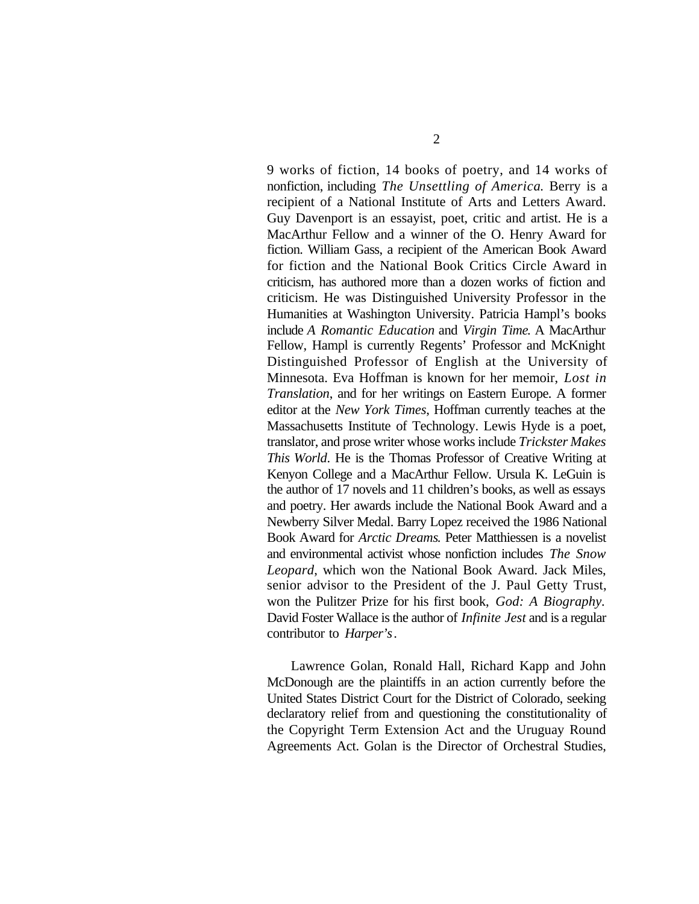9 works of fiction, 14 books of poetry, and 14 works of nonfiction, including *The Unsettling of America*. Berry is a recipient of a National Institute of Arts and Letters Award. Guy Davenport is an essayist, poet, critic and artist. He is a MacArthur Fellow and a winner of the O. Henry Award for fiction. William Gass, a recipient of the American Book Award for fiction and the National Book Critics Circle Award in criticism, has authored more than a dozen works of fiction and criticism. He was Distinguished University Professor in the Humanities at Washington University. Patricia Hampl's books include *A Romantic Education* and *Virgin Time*. A MacArthur Fellow, Hampl is currently Regents' Professor and McKnight Distinguished Professor of English at the University of Minnesota. Eva Hoffman is known for her memoir, *Lost in Translation*, and for her writings on Eastern Europe. A former editor at the *New York Times*, Hoffman currently teaches at the Massachusetts Institute of Technology. Lewis Hyde is a poet, translator, and prose writer whose works include *Trickster Makes This World*. He is the Thomas Professor of Creative Writing at Kenyon College and a MacArthur Fellow. Ursula K. LeGuin is the author of 17 novels and 11 children's books, as well as essays and poetry. Her awards include the National Book Award and a Newberry Silver Medal. Barry Lopez received the 1986 National Book Award for *Arctic Dreams*. Peter Matthiessen is a novelist and environmental activist whose nonfiction includes *The Snow Leopard*, which won the National Book Award. Jack Miles, senior advisor to the President of the J. Paul Getty Trust, won the Pulitzer Prize for his first book, *God: A Biography.* David Foster Wallace is the author of *Infinite Jest* and is a regular contributor to *Harper's*.

Lawrence Golan, Ronald Hall, Richard Kapp and John McDonough are the plaintiffs in an action currently before the United States District Court for the District of Colorado, seeking declaratory relief from and questioning the constitutionality of the Copyright Term Extension Act and the Uruguay Round Agreements Act. Golan is the Director of Orchestral Studies,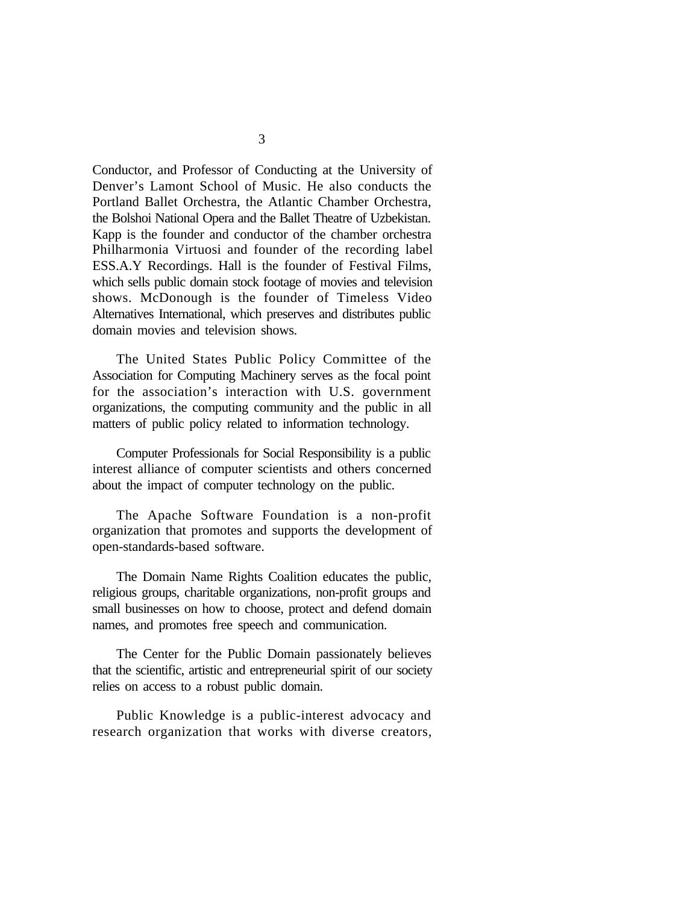Conductor, and Professor of Conducting at the University of Denver's Lamont School of Music. He also conducts the Portland Ballet Orchestra, the Atlantic Chamber Orchestra, the Bolshoi National Opera and the Ballet Theatre of Uzbekistan. Kapp is the founder and conductor of the chamber orchestra Philharmonia Virtuosi and founder of the recording label ESS.A.Y Recordings. Hall is the founder of Festival Films, which sells public domain stock footage of movies and television shows. McDonough is the founder of Timeless Video Alternatives International, which preserves and distributes public domain movies and television shows.

The United States Public Policy Committee of the Association for Computing Machinery serves as the focal point for the association's interaction with U.S. government organizations, the computing community and the public in all matters of public policy related to information technology.

Computer Professionals for Social Responsibility is a public interest alliance of computer scientists and others concerned about the impact of computer technology on the public.

The Apache Software Foundation is a non-profit organization that promotes and supports the development of open-standards-based software.

The Domain Name Rights Coalition educates the public, religious groups, charitable organizations, non-profit groups and small businesses on how to choose, protect and defend domain names, and promotes free speech and communication.

The Center for the Public Domain passionately believes that the scientific, artistic and entrepreneurial spirit of our society relies on access to a robust public domain.

Public Knowledge is a public-interest advocacy and research organization that works with diverse creators,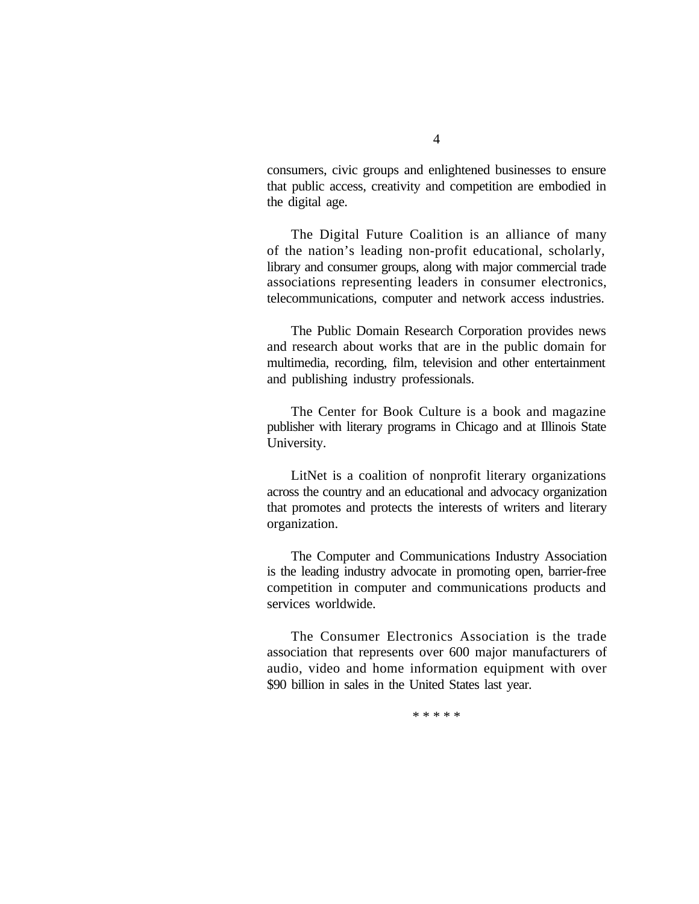consumers, civic groups and enlightened businesses to ensure that public access, creativity and competition are embodied in the digital age.

4

The Digital Future Coalition is an alliance of many of the nation's leading non-profit educational, scholarly, library and consumer groups, along with major commercial trade associations representing leaders in consumer electronics, telecommunications, computer and network access industries.

The Public Domain Research Corporation provides news and research about works that are in the public domain for multimedia, recording, film, television and other entertainment and publishing industry professionals.

The Center for Book Culture is a book and magazine publisher with literary programs in Chicago and at Illinois State University.

LitNet is a coalition of nonprofit literary organizations across the country and an educational and advocacy organization that promotes and protects the interests of writers and literary organization.

The Computer and Communications Industry Association is the leading industry advocate in promoting open, barrier-free competition in computer and communications products and services worldwide.

The Consumer Electronics Association is the trade association that represents over 600 major manufacturers of audio, video and home information equipment with over \$90 billion in sales in the United States last year.

\* \* \* \* \*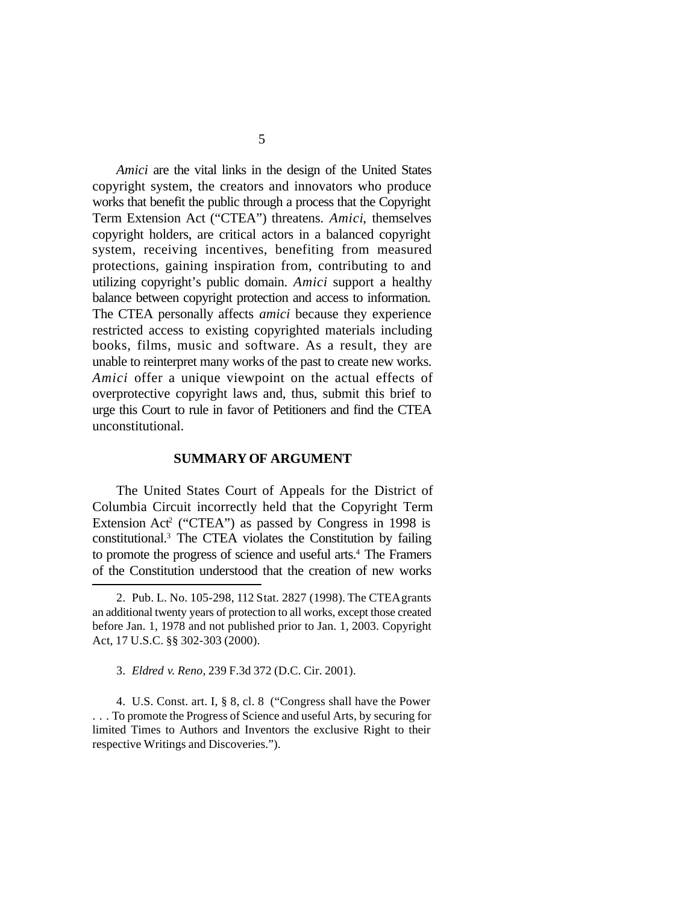*Amici* are the vital links in the design of the United States copyright system, the creators and innovators who produce works that benefit the public through a process that the Copyright Term Extension Act ("CTEA") threatens. *Amici*, themselves copyright holders, are critical actors in a balanced copyright system, receiving incentives, benefiting from measured protections, gaining inspiration from, contributing to and utilizing copyright's public domain. *Amici* support a healthy balance between copyright protection and access to information. The CTEA personally affects *amici* because they experience restricted access to existing copyrighted materials including books, films, music and software. As a result, they are unable to reinterpret many works of the past to create new works. *Amici* offer a unique viewpoint on the actual effects of overprotective copyright laws and, thus, submit this brief to urge this Court to rule in favor of Petitioners and find the CTEA unconstitutional.

#### **SUMMARY OF ARGUMENT**

The United States Court of Appeals for the District of Columbia Circuit incorrectly held that the Copyright Term Extension Act<sup>2</sup> ("CTEA") as passed by Congress in 1998 is constitutional.<sup>3</sup> The CTEA violates the Constitution by failing to promote the progress of science and useful arts.<sup>4</sup> The Framers of the Constitution understood that the creation of new works

<sup>2.</sup> Pub. L. No. 105-298, 112 Stat. 2827 (1998). The CTEA grants an additional twenty years of protection to all works, except those created before Jan. 1, 1978 and not published prior to Jan. 1, 2003. Copyright Act, 17 U.S.C. §§ 302-303 (2000).

<sup>3.</sup> *Eldred v. Reno*, 239 F.3d 372 (D.C. Cir. 2001).

<sup>4.</sup> U.S. Const. art. I, § 8, cl. 8 ("Congress shall have the Power . . . To promote the Progress of Science and useful Arts, by securing for limited Times to Authors and Inventors the exclusive Right to their respective Writings and Discoveries.").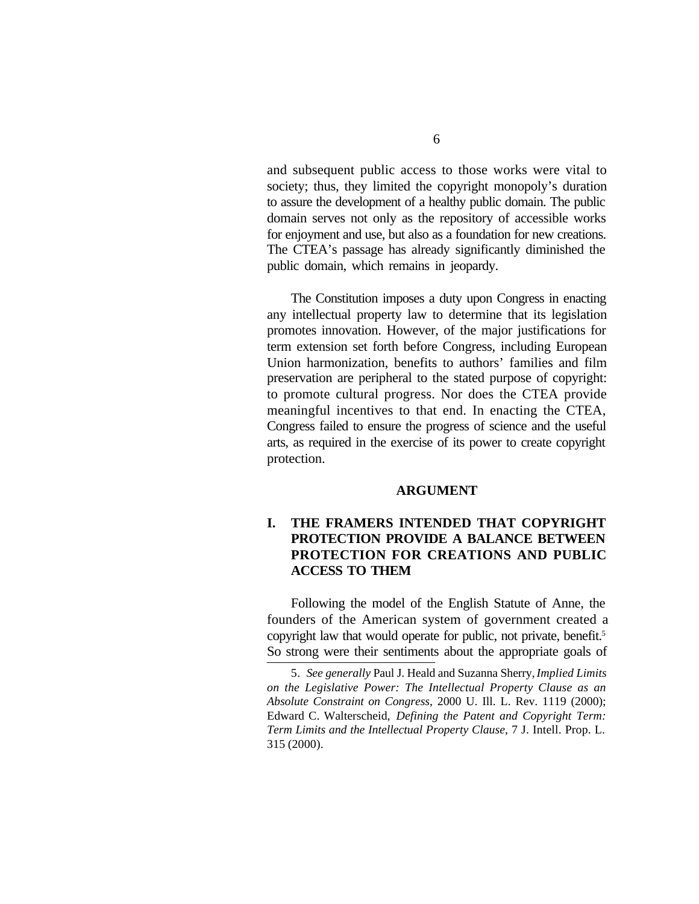and subsequent public access to those works were vital to society; thus, they limited the copyright monopoly's duration to assure the development of a healthy public domain. The public domain serves not only as the repository of accessible works for enjoyment and use, but also as a foundation for new creations. The CTEA's passage has already significantly diminished the public domain, which remains in jeopardy.

The Constitution imposes a duty upon Congress in enacting any intellectual property law to determine that its legislation promotes innovation. However, of the major justifications for term extension set forth before Congress, including European Union harmonization, benefits to authors' families and film preservation are peripheral to the stated purpose of copyright: to promote cultural progress. Nor does the CTEA provide meaningful incentives to that end. In enacting the CTEA, Congress failed to ensure the progress of science and the useful arts, as required in the exercise of its power to create copyright protection.

#### **ARGUMENT**

### **I. THE FRAMERS INTENDED THAT COPYRIGHT PROTECTION PROVIDE A BALANCE BETWEEN PROTECTION FOR CREATIONS AND PUBLIC ACCESS TO THEM**

Following the model of the English Statute of Anne, the founders of the American system of government created a copyright law that would operate for public, not private, benefit.<sup>5</sup> So strong were their sentiments about the appropriate goals of

<sup>5.</sup> *See generally* Paul J. Heald and Suzanna Sherry, *Implied Limits on the Legislative Power: The Intellectual Property Clause as an Absolute Constraint on Congress*, 2000 U. Ill. L. Rev. 1119 (2000); Edward C. Walterscheid, *Defining the Patent and Copyright Term: Term Limits and the Intellectual Property Clause*, 7 J. Intell. Prop. L. 315 (2000).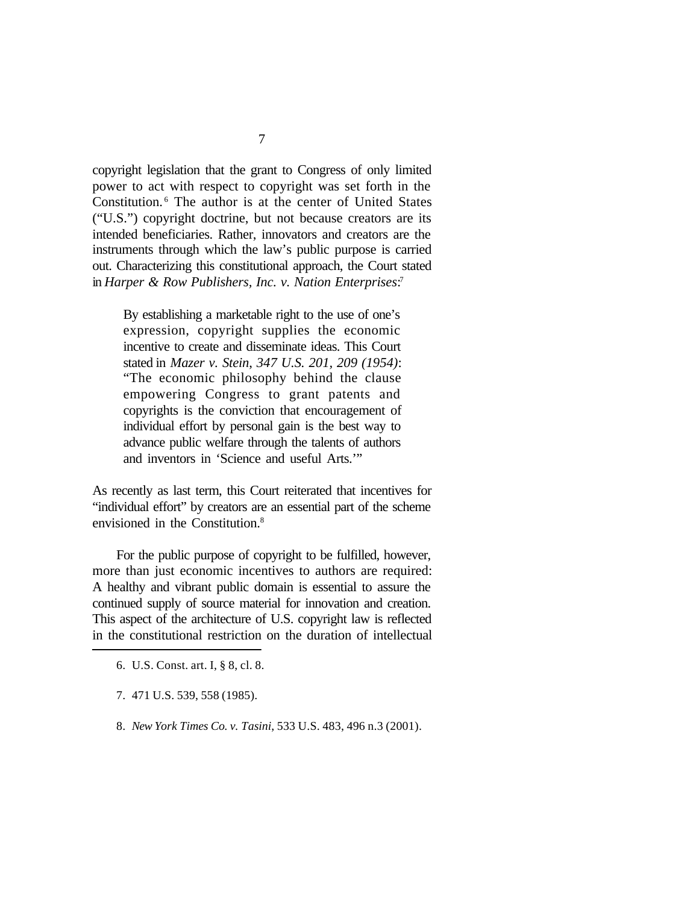copyright legislation that the grant to Congress of only limited power to act with respect to copyright was set forth in the Constitution. <sup>6</sup> The author is at the center of United States ("U.S.") copyright doctrine, but not because creators are its intended beneficiaries. Rather, innovators and creators are the instruments through which the law's public purpose is carried out. Characterizing this constitutional approach, the Court stated in *Harper & Row Publishers, Inc. v. Nation Enterprises*: 7

By establishing a marketable right to the use of one's expression, copyright supplies the economic incentive to create and disseminate ideas. This Court stated in *Mazer v. Stein*, *347 U.S. 201, 209 (1954)*: "The economic philosophy behind the clause empowering Congress to grant patents and copyrights is the conviction that encouragement of individual effort by personal gain is the best way to advance public welfare through the talents of authors and inventors in 'Science and useful Arts.'"

As recently as last term, this Court reiterated that incentives for "individual effort" by creators are an essential part of the scheme envisioned in the Constitution.<sup>8</sup>

For the public purpose of copyright to be fulfilled, however, more than just economic incentives to authors are required: A healthy and vibrant public domain is essential to assure the continued supply of source material for innovation and creation. This aspect of the architecture of U.S. copyright law is reflected in the constitutional restriction on the duration of intellectual

7. 471 U.S. 539, 558 (1985).

8. *New York Times Co. v. Tasini*, 533 U.S. 483, 496 n.3 (2001).

<sup>6.</sup> U.S. Const. art. I, § 8, cl. 8.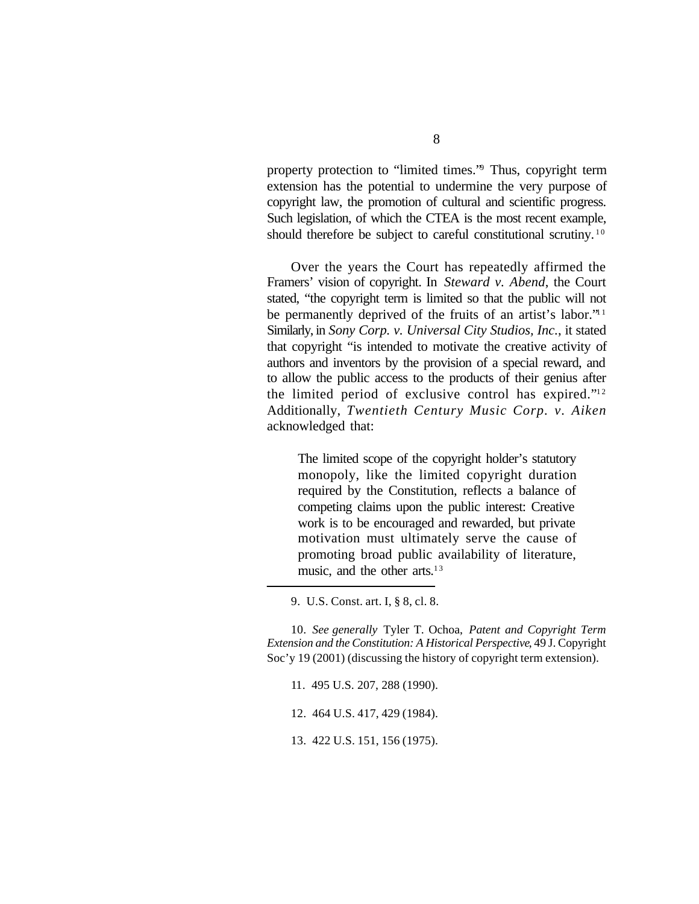property protection to "limited times."<sup>9</sup> Thus, copyright term extension has the potential to undermine the very purpose of copyright law, the promotion of cultural and scientific progress. Such legislation, of which the CTEA is the most recent example, should therefore be subject to careful constitutional scrutiny.<sup>10</sup>

Over the years the Court has repeatedly affirmed the Framers' vision of copyright. In *Steward v. Abend*, the Court stated, "the copyright term is limited so that the public will not be permanently deprived of the fruits of an artist's labor."<sup>11</sup> Similarly, in *Sony Corp. v. Universal City Studios, Inc.*, it stated that copyright "is intended to motivate the creative activity of authors and inventors by the provision of a special reward, and to allow the public access to the products of their genius after the limited period of exclusive control has expired." $12$ Additionally, *Twentieth Century Music Corp. v. Aiken* acknowledged that:

The limited scope of the copyright holder's statutory monopoly, like the limited copyright duration required by the Constitution, reflects a balance of competing claims upon the public interest: Creative work is to be encouraged and rewarded, but private motivation must ultimately serve the cause of promoting broad public availability of literature, music, and the other arts.<sup>13</sup>

10. *See generally* Tyler T. Ochoa, *Patent and Copyright Term Extension and the Constitution: A Historical Perspective*, 49 J. Copyright Soc'y 19 (2001) (discussing the history of copyright term extension).

- 11. 495 U.S. 207, 288 (1990).
- 12. 464 U.S. 417, 429 (1984).
- 13. 422 U.S. 151, 156 (1975).

<sup>9.</sup> U.S. Const. art. I, § 8, cl. 8.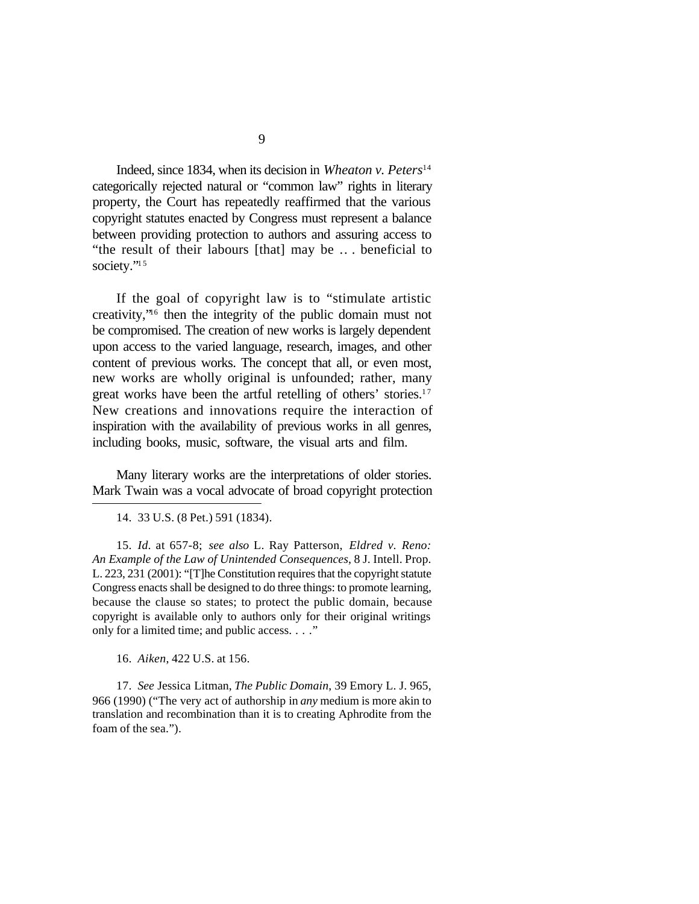Indeed, since 1834, when its decision in *Wheaton v. Peters*<sup>14</sup> categorically rejected natural or "common law" rights in literary property, the Court has repeatedly reaffirmed that the various copyright statutes enacted by Congress must represent a balance between providing protection to authors and assuring access to "the result of their labours [that] may be .. . beneficial to society."<sup>15</sup>

If the goal of copyright law is to "stimulate artistic creativity,"16 then the integrity of the public domain must not be compromised. The creation of new works is largely dependent upon access to the varied language, research, images, and other content of previous works. The concept that all, or even most, new works are wholly original is unfounded; rather, many great works have been the artful retelling of others' stories.<sup>17</sup> New creations and innovations require the interaction of inspiration with the availability of previous works in all genres, including books, music, software, the visual arts and film.

Many literary works are the interpretations of older stories. Mark Twain was a vocal advocate of broad copyright protection

#### 14. 33 U.S. (8 Pet.) 591 (1834).

15. *Id*. at 657-8; *see also* L. Ray Patterson, *Eldred v. Reno: An Example of the Law of Unintended Consequences*, 8 J. Intell. Prop. L. 223, 231 (2001): "[T]he Constitution requires that the copyright statute Congress enacts shall be designed to do three things: to promote learning, because the clause so states; to protect the public domain, because copyright is available only to authors only for their original writings only for a limited time; and public access. . . ."

16. *Aiken*, 422 U.S. at 156.

17. *See* Jessica Litman, *The Public Domain*, 39 Emory L. J. 965, 966 (1990) ("The very act of authorship in *any* medium is more akin to translation and recombination than it is to creating Aphrodite from the foam of the sea.").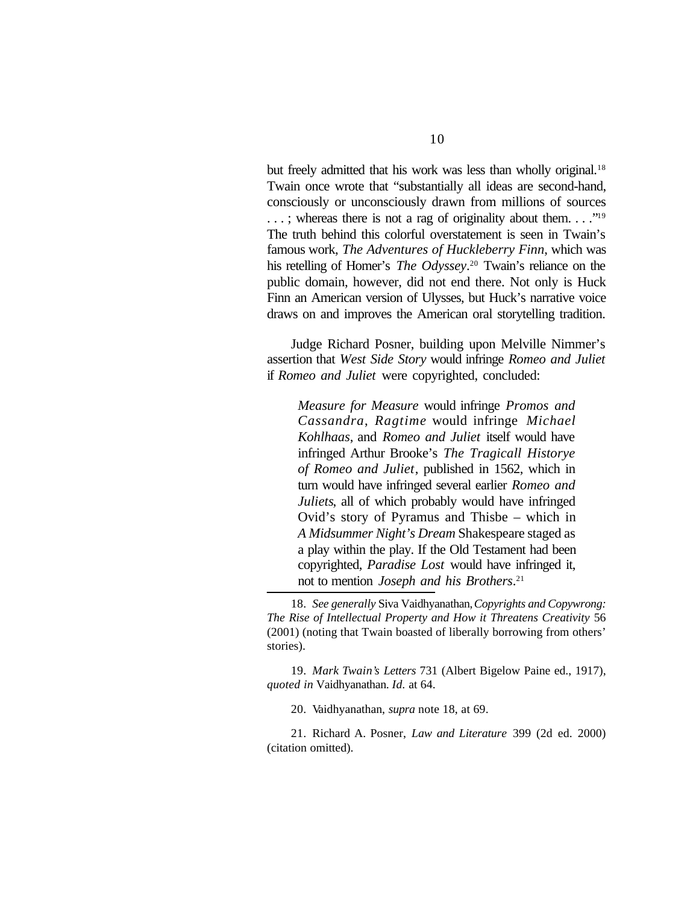but freely admitted that his work was less than wholly original.<sup>18</sup> Twain once wrote that "substantially all ideas are second-hand, consciously or unconsciously drawn from millions of sources ...; whereas there is not a rag of originality about them...."<sup>19</sup> The truth behind this colorful overstatement is seen in Twain's famous work, *The Adventures of Huckleberry Finn*, which was his retelling of Homer's *The Odyssey*. <sup>20</sup> Twain's reliance on the public domain, however, did not end there. Not only is Huck Finn an American version of Ulysses, but Huck's narrative voice draws on and improves the American oral storytelling tradition.

Judge Richard Posner, building upon Melville Nimmer's assertion that *West Side Story* would infringe *Romeo and Juliet* if *Romeo and Juliet* were copyrighted, concluded:

*Measure for Measure* would infringe *Promos and Cassandra*, *Ragtime* would infringe *Michael Kohlhaas*, and *Romeo and Juliet* itself would have infringed Arthur Brooke's *The Tragicall Historye of Romeo and Juliet*, published in 1562, which in turn would have infringed several earlier *Romeo and Juliets*, all of which probably would have infringed Ovid's story of Pyramus and Thisbe – which in *A Midsummer Night's Dream* Shakespeare staged as a play within the play. If the Old Testament had been copyrighted, *Paradise Lost* would have infringed it, not to mention *Joseph and his Brothers*. 21

18. *See generally* Siva Vaidhyanathan, *Copyrights and Copywrong: The Rise of Intellectual Property and How it Threatens Creativity* 56 (2001) (noting that Twain boasted of liberally borrowing from others' stories).

19. *Mark Twain's Letters* 731 (Albert Bigelow Paine ed., 1917), *quoted in* Vaidhyanathan. *Id.* at 64.

20. Vaidhyanathan, *supra* note 18, at 69.

21. Richard A. Posner, *Law and Literature* 399 (2d ed. 2000) (citation omitted).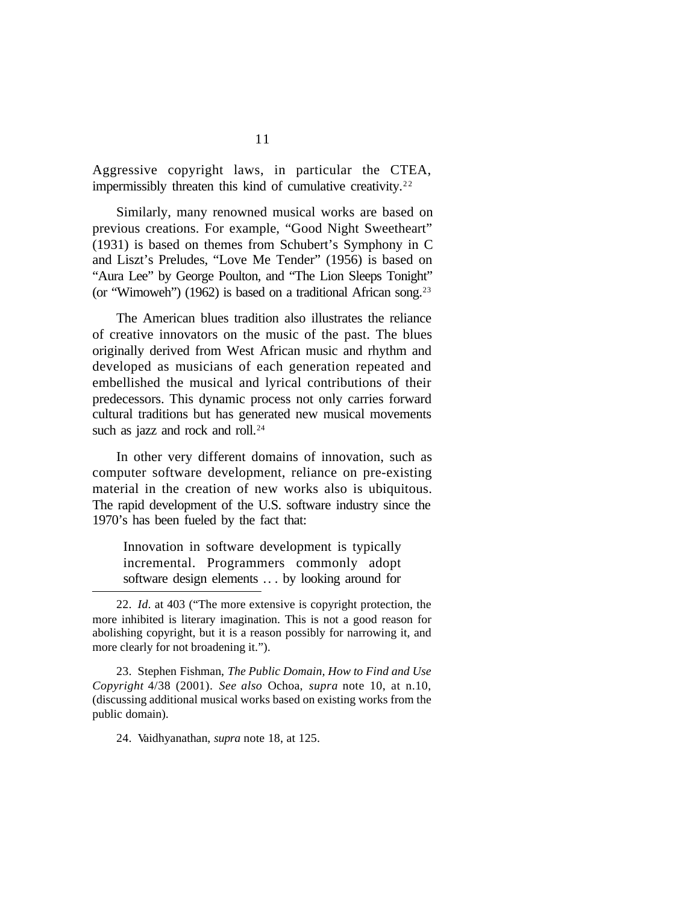Aggressive copyright laws, in particular the CTEA, impermissibly threaten this kind of cumulative creativity.<sup>22</sup>

Similarly, many renowned musical works are based on previous creations. For example, "Good Night Sweetheart" (1931) is based on themes from Schubert's Symphony in C and Liszt's Preludes, "Love Me Tender" (1956) is based on "Aura Lee" by George Poulton, and "The Lion Sleeps Tonight" (or "Wimoweh") (1962) is based on a traditional African song.<sup>23</sup>

The American blues tradition also illustrates the reliance of creative innovators on the music of the past. The blues originally derived from West African music and rhythm and developed as musicians of each generation repeated and embellished the musical and lyrical contributions of their predecessors. This dynamic process not only carries forward cultural traditions but has generated new musical movements such as jazz and rock and roll.<sup>24</sup>

In other very different domains of innovation, such as computer software development, reliance on pre-existing material in the creation of new works also is ubiquitous. The rapid development of the U.S. software industry since the 1970's has been fueled by the fact that:

Innovation in software development is typically incremental. Programmers commonly adopt software design elements .. . by looking around for

<sup>22.</sup> *Id*. at 403 ("The more extensive is copyright protection, the more inhibited is literary imagination. This is not a good reason for abolishing copyright, but it is a reason possibly for narrowing it, and more clearly for not broadening it.").

<sup>23.</sup> Stephen Fishman, *The Public Domain, How to Find and Use Copyright* 4/38 (2001). *See also* Ochoa, *supra* note 10, at n.10, (discussing additional musical works based on existing works from the public domain).

<sup>24.</sup> Vaidhyanathan, *supra* note 18, at 125.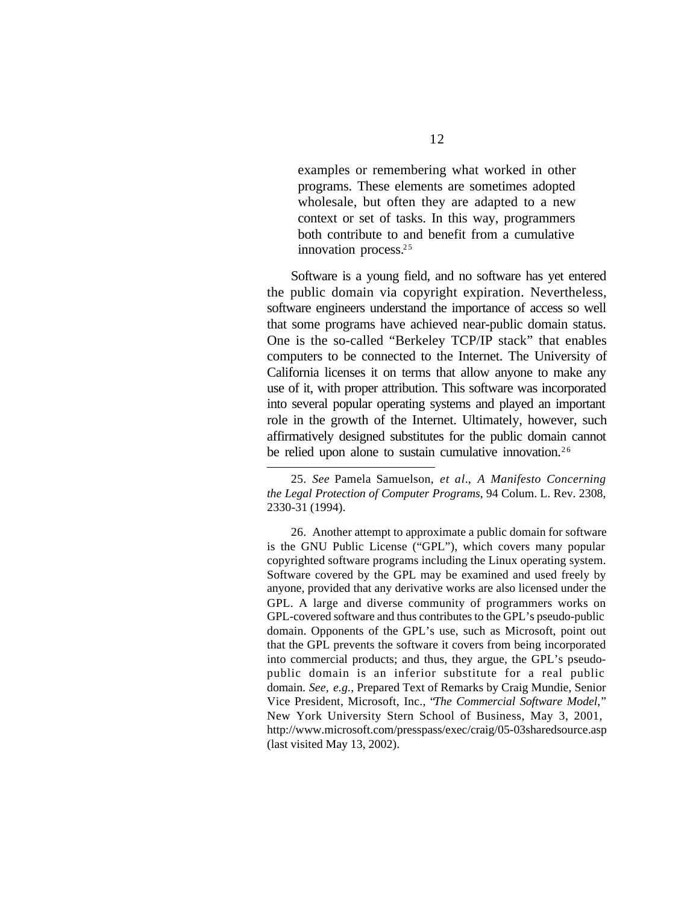examples or remembering what worked in other programs. These elements are sometimes adopted wholesale, but often they are adapted to a new context or set of tasks. In this way, programmers both contribute to and benefit from a cumulative innovation process. $25$ 

Software is a young field, and no software has yet entered the public domain via copyright expiration. Nevertheless, software engineers understand the importance of access so well that some programs have achieved near-public domain status. One is the so-called "Berkeley TCP/IP stack" that enables computers to be connected to the Internet. The University of California licenses it on terms that allow anyone to make any use of it, with proper attribution. This software was incorporated into several popular operating systems and played an important role in the growth of the Internet. Ultimately, however, such affirmatively designed substitutes for the public domain cannot be relied upon alone to sustain cumulative innovation.<sup>26</sup>

26. Another attempt to approximate a public domain for software is the GNU Public License ("GPL"), which covers many popular copyrighted software programs including the Linux operating system. Software covered by the GPL may be examined and used freely by anyone, provided that any derivative works are also licensed under the GPL. A large and diverse community of programmers works on GPL-covered software and thus contributes to the GPL's pseudo-public domain. Opponents of the GPL's use, such as Microsoft, point out that the GPL prevents the software it covers from being incorporated into commercial products; and thus, they argue, the GPL's pseudopublic domain is an inferior substitute for a real public domain. *See, e.g.*, Prepared Text of Remarks by Craig Mundie, Senior Vice President, Microsoft, Inc., "*The Commercial Software Model*," New York University Stern School of Business, May 3, 2001, http://www.microsoft.com/presspass/exec/craig/05-03sharedsource.asp (last visited May 13, 2002).

<sup>25.</sup> *See* Pamela Samuelson, *et al.*, *A Manifesto Concerning the Legal Protection of Computer Programs*, 94 Colum. L. Rev. 2308, 2330-31 (1994).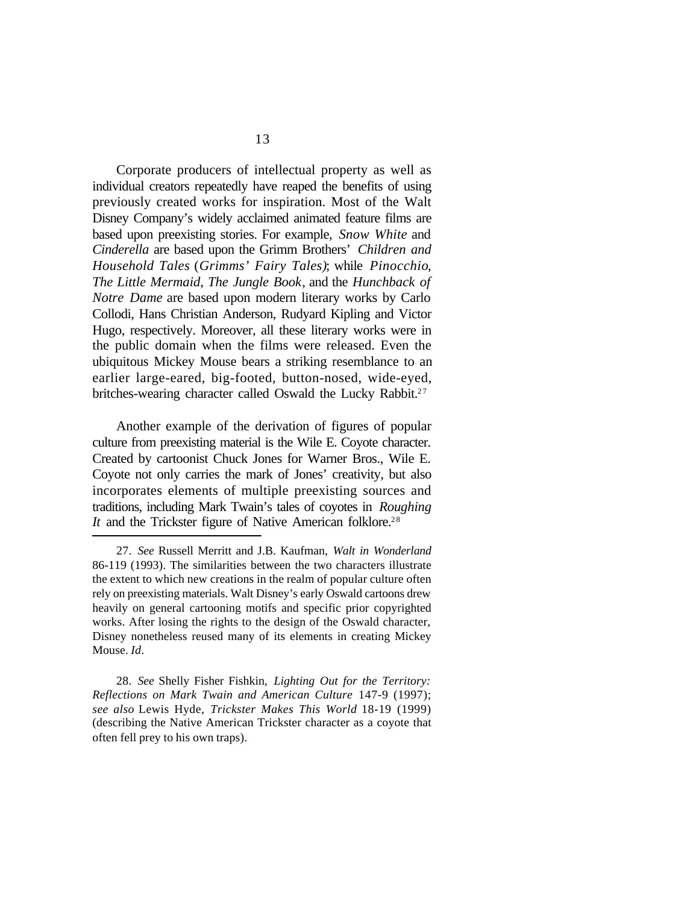Corporate producers of intellectual property as well as individual creators repeatedly have reaped the benefits of using previously created works for inspiration. Most of the Walt Disney Company's widely acclaimed animated feature films are based upon preexisting stories. For example, *Snow White* and *Cinderella* are based upon the Grimm Brothers' *Children and Household Tales* (*Grimms' Fairy Tales)*; while *Pinocchio*, *The Little Mermaid*, *The Jungle Book*, and the *Hunchback of Notre Dame* are based upon modern literary works by Carlo Collodi, Hans Christian Anderson, Rudyard Kipling and Victor Hugo, respectively. Moreover, all these literary works were in the public domain when the films were released. Even the ubiquitous Mickey Mouse bears a striking resemblance to an earlier large-eared, big-footed, button-nosed, wide-eyed, britches-wearing character called Oswald the Lucky Rabbit.<sup>27</sup>

Another example of the derivation of figures of popular culture from preexisting material is the Wile E. Coyote character. Created by cartoonist Chuck Jones for Warner Bros., Wile E. Coyote not only carries the mark of Jones' creativity, but also incorporates elements of multiple preexisting sources and traditions, including Mark Twain's tales of coyotes in *Roughing It* and the Trickster figure of Native American folklore.<sup>28</sup>

28. *See* Shelly Fisher Fishkin, *Lighting Out for the Territory: Reflections on Mark Twain and American Culture* 147-9 (1997); *see also* Lewis Hyde, *Trickster Makes This World* 18-19 (1999) (describing the Native American Trickster character as a coyote that often fell prey to his own traps).

<sup>27.</sup> *See* Russell Merritt and J.B. Kaufman, *Walt in Wonderland* 86-119 (1993). The similarities between the two characters illustrate the extent to which new creations in the realm of popular culture often rely on preexisting materials. Walt Disney's early Oswald cartoons drew heavily on general cartooning motifs and specific prior copyrighted works. After losing the rights to the design of the Oswald character, Disney nonetheless reused many of its elements in creating Mickey Mouse. *Id*.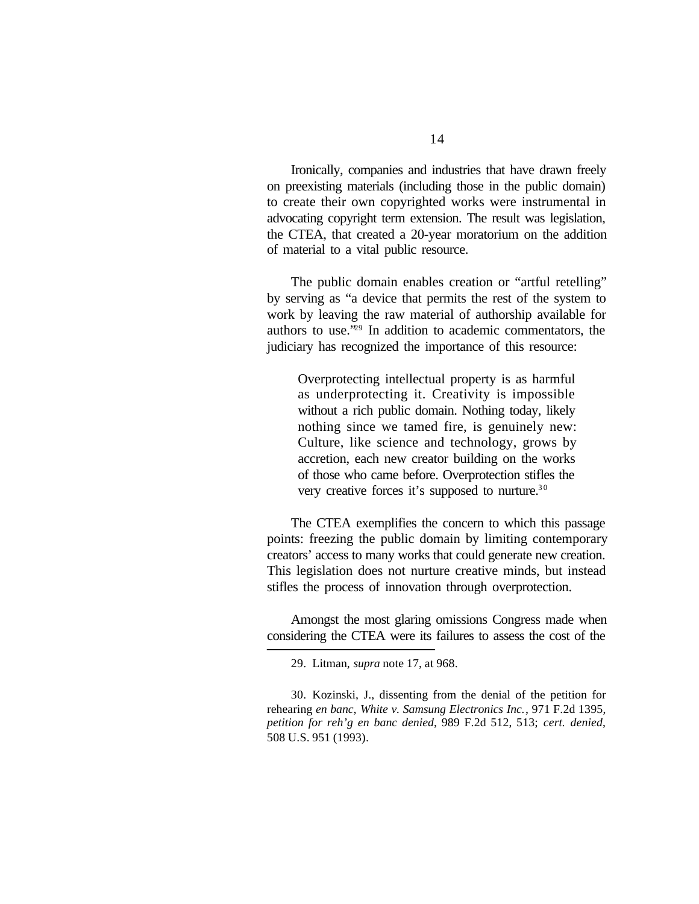Ironically, companies and industries that have drawn freely on preexisting materials (including those in the public domain) to create their own copyrighted works were instrumental in advocating copyright term extension. The result was legislation, the CTEA, that created a 20-year moratorium on the addition of material to a vital public resource.

The public domain enables creation or "artful retelling" by serving as "a device that permits the rest of the system to work by leaving the raw material of authorship available for authors to use."29 In addition to academic commentators, the judiciary has recognized the importance of this resource:

Overprotecting intellectual property is as harmful as underprotecting it. Creativity is impossible without a rich public domain. Nothing today, likely nothing since we tamed fire, is genuinely new: Culture, like science and technology, grows by accretion, each new creator building on the works of those who came before. Overprotection stifles the very creative forces it's supposed to nurture.<sup>30</sup>

The CTEA exemplifies the concern to which this passage points: freezing the public domain by limiting contemporary creators' access to many works that could generate new creation. This legislation does not nurture creative minds, but instead stifles the process of innovation through overprotection.

Amongst the most glaring omissions Congress made when considering the CTEA were its failures to assess the cost of the

<sup>29.</sup> Litman, *supra* note 17, at 968.

<sup>30.</sup> Kozinski, J., dissenting from the denial of the petition for rehearing *en banc*, *White v. Samsung Electronics Inc.*, 971 F.2d 1395, *petition for reh'g en banc denied*, 989 F.2d 512, 513; *cert. denied*, 508 U.S. 951 (1993).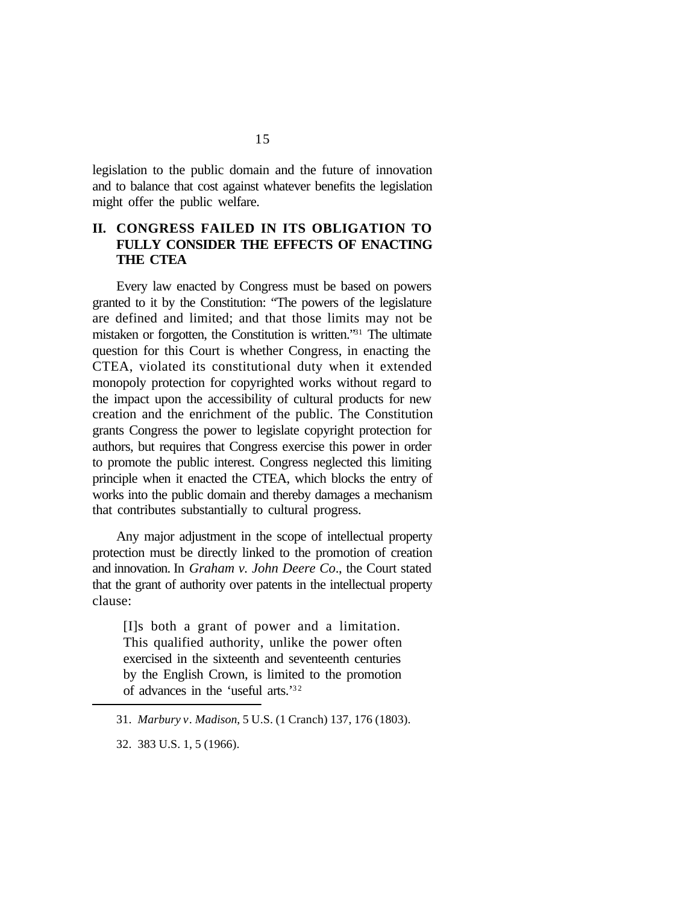legislation to the public domain and the future of innovation and to balance that cost against whatever benefits the legislation might offer the public welfare.

### **II. CONGRESS FAILED IN ITS OBLIGATION TO FULLY CONSIDER THE EFFECTS OF ENACTING THE CTEA**

Every law enacted by Congress must be based on powers granted to it by the Constitution: "The powers of the legislature are defined and limited; and that those limits may not be mistaken or forgotten, the Constitution is written."31 The ultimate question for this Court is whether Congress, in enacting the CTEA, violated its constitutional duty when it extended monopoly protection for copyrighted works without regard to the impact upon the accessibility of cultural products for new creation and the enrichment of the public. The Constitution grants Congress the power to legislate copyright protection for authors, but requires that Congress exercise this power in order to promote the public interest. Congress neglected this limiting principle when it enacted the CTEA, which blocks the entry of works into the public domain and thereby damages a mechanism that contributes substantially to cultural progress.

Any major adjustment in the scope of intellectual property protection must be directly linked to the promotion of creation and innovation. In *Graham v. John Deere Co*., the Court stated that the grant of authority over patents in the intellectual property clause:

[I]s both a grant of power and a limitation. This qualified authority, unlike the power often exercised in the sixteenth and seventeenth centuries by the English Crown, is limited to the promotion of advances in the 'useful arts.'<sup>32</sup>

<sup>31.</sup> *Marbury v*. *Madison*, 5 U.S. (1 Cranch) 137, 176 (1803).

<sup>32.</sup> 383 U.S. 1, 5 (1966).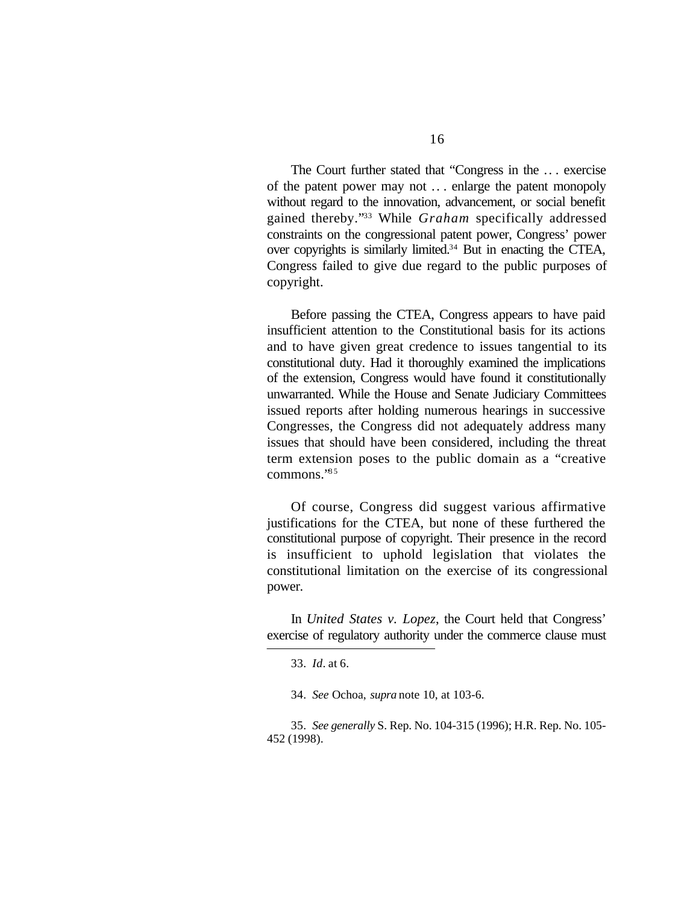The Court further stated that "Congress in the .. . exercise of the patent power may not .. . enlarge the patent monopoly without regard to the innovation, advancement, or social benefit gained thereby."33 While *Graham* specifically addressed constraints on the congressional patent power, Congress' power over copyrights is similarly limited.34 But in enacting the CTEA, Congress failed to give due regard to the public purposes of copyright.

Before passing the CTEA, Congress appears to have paid insufficient attention to the Constitutional basis for its actions and to have given great credence to issues tangential to its constitutional duty. Had it thoroughly examined the implications of the extension, Congress would have found it constitutionally unwarranted. While the House and Senate Judiciary Committees issued reports after holding numerous hearings in successive Congresses, the Congress did not adequately address many issues that should have been considered, including the threat term extension poses to the public domain as a "creative commons."<sup>35</sup>

Of course, Congress did suggest various affirmative justifications for the CTEA, but none of these furthered the constitutional purpose of copyright. Their presence in the record is insufficient to uphold legislation that violates the constitutional limitation on the exercise of its congressional power.

In *United States v. Lopez*, the Court held that Congress' exercise of regulatory authority under the commerce clause must

35. *See generally* S. Rep. No. 104-315 (1996); H.R. Rep. No. 105- 452 (1998).

<sup>33.</sup> *Id*. at 6.

<sup>34.</sup> *See* Ochoa, *supra* note 10, at 103-6.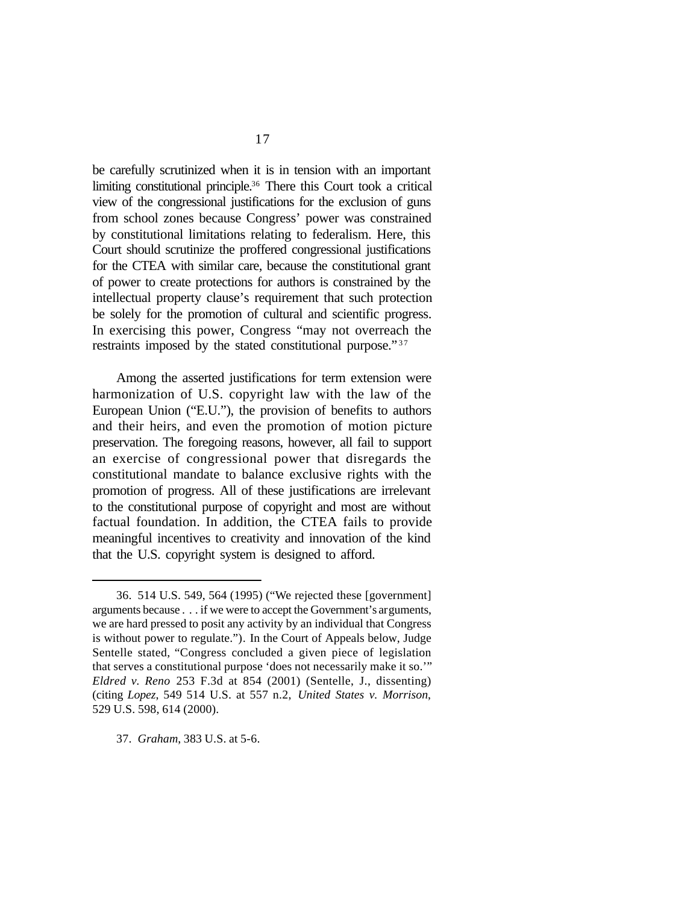be carefully scrutinized when it is in tension with an important limiting constitutional principle.36 There this Court took a critical view of the congressional justifications for the exclusion of guns from school zones because Congress' power was constrained by constitutional limitations relating to federalism. Here, this Court should scrutinize the proffered congressional justifications for the CTEA with similar care, because the constitutional grant of power to create protections for authors is constrained by the intellectual property clause's requirement that such protection be solely for the promotion of cultural and scientific progress. In exercising this power, Congress "may not overreach the restraints imposed by the stated constitutional purpose."<sup>37</sup>

Among the asserted justifications for term extension were harmonization of U.S. copyright law with the law of the European Union ("E.U."), the provision of benefits to authors and their heirs, and even the promotion of motion picture preservation. The foregoing reasons, however, all fail to support an exercise of congressional power that disregards the constitutional mandate to balance exclusive rights with the promotion of progress. All of these justifications are irrelevant to the constitutional purpose of copyright and most are without factual foundation. In addition, the CTEA fails to provide meaningful incentives to creativity and innovation of the kind that the U.S. copyright system is designed to afford.

<sup>36.</sup> 514 U.S. 549, 564 (1995) ("We rejected these [government] arguments because . . . if we were to accept the Government's arguments, we are hard pressed to posit any activity by an individual that Congress is without power to regulate.")*.* In the Court of Appeals below, Judge Sentelle stated, "Congress concluded a given piece of legislation that serves a constitutional purpose 'does not necessarily make it so.'" *Eldred v. Reno* 253 F.3d at 854 (2001) (Sentelle, J., dissenting) (citing *Lopez*, 549 514 U.S. at 557 n.2, *United States v. Morrison*, 529 U.S. 598, 614 (2000).

<sup>37.</sup> *Graham*, 383 U.S. at 5-6.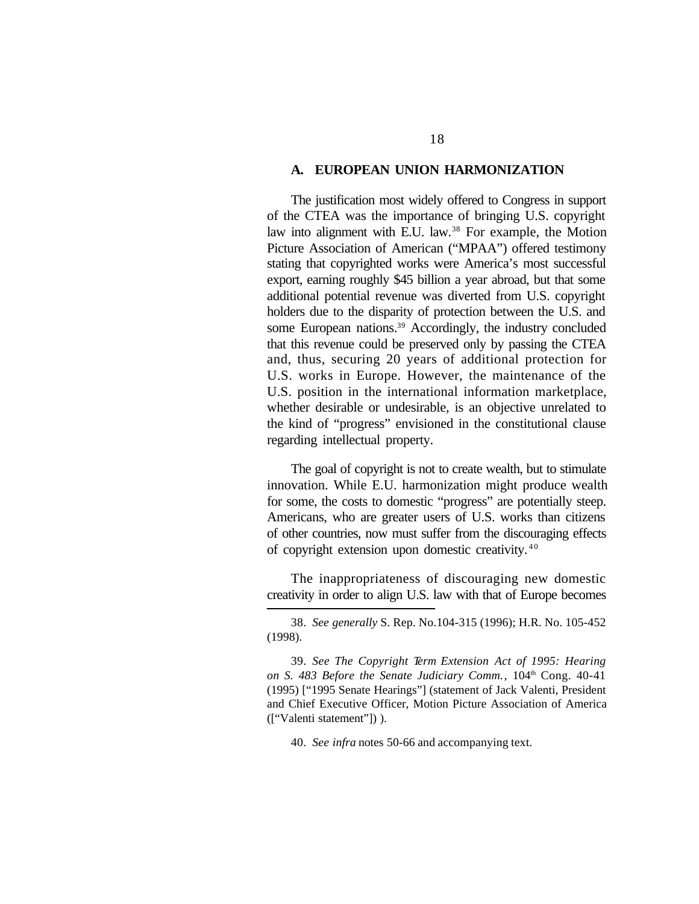#### **A. EUROPEAN UNION HARMONIZATION**

The justification most widely offered to Congress in support of the CTEA was the importance of bringing U.S. copyright law into alignment with E.U. law.<sup>38</sup> For example, the Motion Picture Association of American ("MPAA") offered testimony stating that copyrighted works were America's most successful export, earning roughly \$45 billion a year abroad, but that some additional potential revenue was diverted from U.S. copyright holders due to the disparity of protection between the U.S. and some European nations.<sup>39</sup> Accordingly, the industry concluded that this revenue could be preserved only by passing the CTEA and, thus, securing 20 years of additional protection for U.S. works in Europe. However, the maintenance of the U.S. position in the international information marketplace, whether desirable or undesirable, is an objective unrelated to the kind of "progress" envisioned in the constitutional clause regarding intellectual property.

The goal of copyright is not to create wealth, but to stimulate innovation. While E.U. harmonization might produce wealth for some, the costs to domestic "progress" are potentially steep. Americans, who are greater users of U.S. works than citizens of other countries, now must suffer from the discouraging effects of copyright extension upon domestic creativity.<sup>40</sup>

The inappropriateness of discouraging new domestic creativity in order to align U.S. law with that of Europe becomes

38. *See generally* S. Rep. No.104-315 (1996); H.R. No. 105-452 (1998).

39. *See The Copyright Term Extension Act of 1995: Hearing on S. 483 Before the Senate Judiciary Comm.*,  $104<sup>th</sup>$  Cong. 40-41 (1995) ["1995 Senate Hearings"] (statement of Jack Valenti, President and Chief Executive Officer, Motion Picture Association of America (["Valenti statement"]) ).

40. *See infra* notes 50-66 and accompanying text.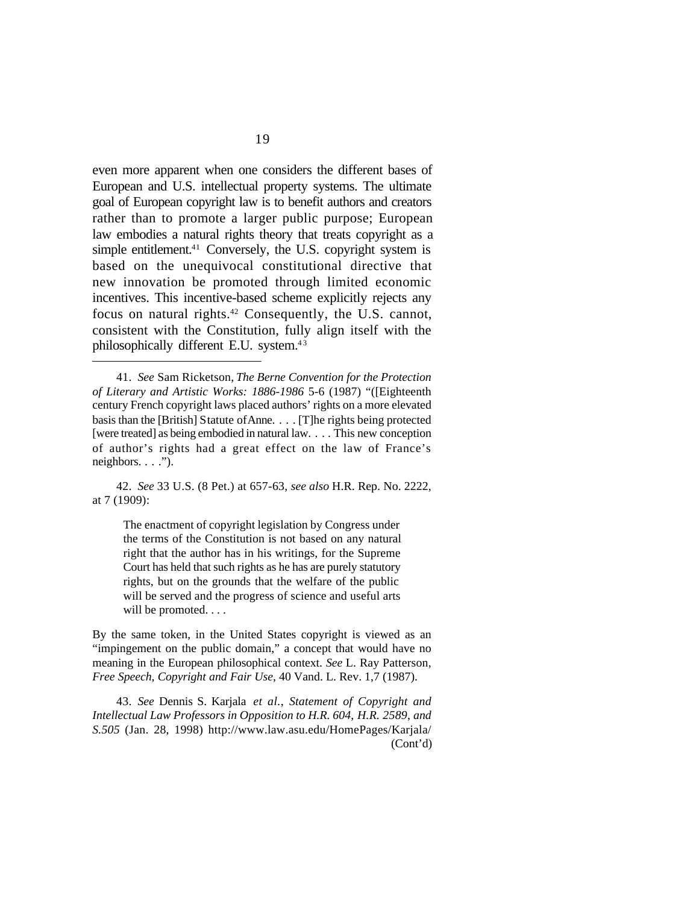even more apparent when one considers the different bases of European and U.S. intellectual property systems. The ultimate goal of European copyright law is to benefit authors and creators rather than to promote a larger public purpose; European law embodies a natural rights theory that treats copyright as a simple entitlement. $41$  Conversely, the U.S. copyright system is based on the unequivocal constitutional directive that new innovation be promoted through limited economic incentives. This incentive-based scheme explicitly rejects any focus on natural rights.<sup>42</sup> Consequently, the U.S. cannot, consistent with the Constitution, fully align itself with the philosophically different E.U. system.<sup>43</sup>

42. *See* 33 U.S. (8 Pet.) at 657-63, *see also* H.R. Rep. No. 2222, at 7 (1909):

The enactment of copyright legislation by Congress under the terms of the Constitution is not based on any natural right that the author has in his writings, for the Supreme Court has held that such rights as he has are purely statutory rights, but on the grounds that the welfare of the public will be served and the progress of science and useful arts will be promoted....

By the same token, in the United States copyright is viewed as an "impingement on the public domain," a concept that would have no meaning in the European philosophical context. *See* L. Ray Patterson, *Free Speech, Copyright and Fair Use*, 40 Vand. L. Rev. 1,7 (1987).

43. *See* Dennis S. Karjala *et al.*, *Statement of Copyright and Intellectual Law Professors in Opposition to H.R. 604*, *H.R. 2589*, *and S.505* (Jan. 28, 1998) http://www.law.asu.edu/HomePages/Karjala/ (Cont'd)

<sup>41.</sup> *See* Sam Ricketson, *The Berne Convention for the Protection of Literary and Artistic Works: 1886-1986* 5-6 (1987) "([Eighteenth century French copyright laws placed authors' rights on a more elevated basis than the [British] Statute of Anne. . . . [T]he rights being protected [were treated] as being embodied in natural law. . . . This new conception of author's rights had a great effect on the law of France's neighbors.  $\ldots$  .").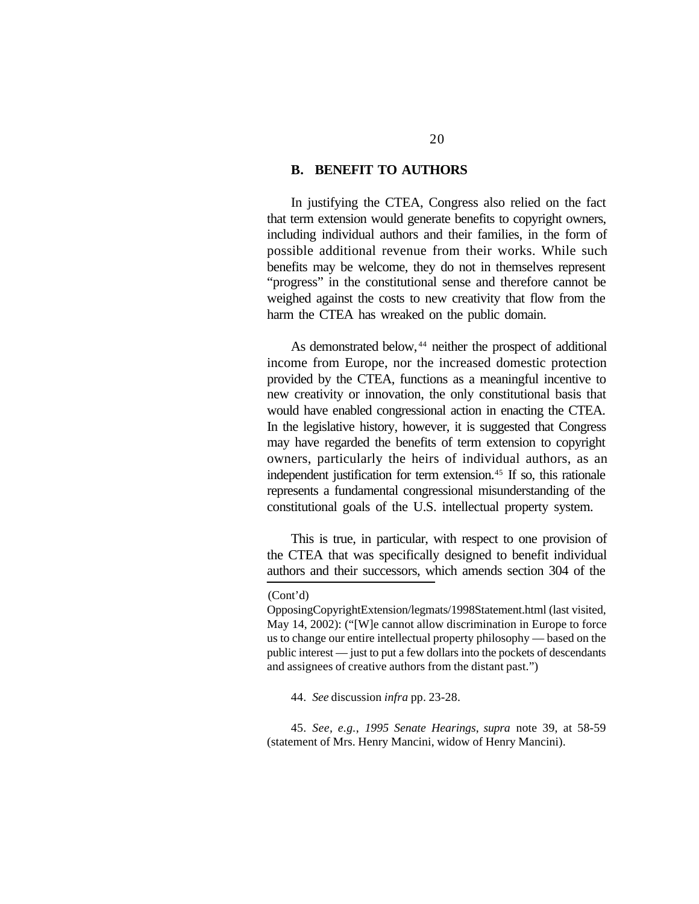#### **B. BENEFIT TO AUTHORS**

In justifying the CTEA, Congress also relied on the fact that term extension would generate benefits to copyright owners, including individual authors and their families, in the form of possible additional revenue from their works. While such benefits may be welcome, they do not in themselves represent "progress" in the constitutional sense and therefore cannot be weighed against the costs to new creativity that flow from the harm the CTEA has wreaked on the public domain.

As demonstrated below,<sup>44</sup> neither the prospect of additional income from Europe, nor the increased domestic protection provided by the CTEA, functions as a meaningful incentive to new creativity or innovation, the only constitutional basis that would have enabled congressional action in enacting the CTEA. In the legislative history, however, it is suggested that Congress may have regarded the benefits of term extension to copyright owners, particularly the heirs of individual authors, as an independent justification for term extension.<sup>45</sup> If so, this rationale represents a fundamental congressional misunderstanding of the constitutional goals of the U.S. intellectual property system.

This is true, in particular, with respect to one provision of the CTEA that was specifically designed to benefit individual authors and their successors, which amends section 304 of the

#### (Cont'd)

OpposingCopyrightExtension/legmats/1998Statement.html (last visited, May 14, 2002): ("[W]e cannot allow discrimination in Europe to force us to change our entire intellectual property philosophy — based on the public interest — just to put a few dollars into the pockets of descendants and assignees of creative authors from the distant past.")

44. *See* discussion *infra* pp. 23-28.

45. *See, e.g.*, *1995 Senate Hearings*, *supra* note 39, at 58-59 (statement of Mrs. Henry Mancini, widow of Henry Mancini).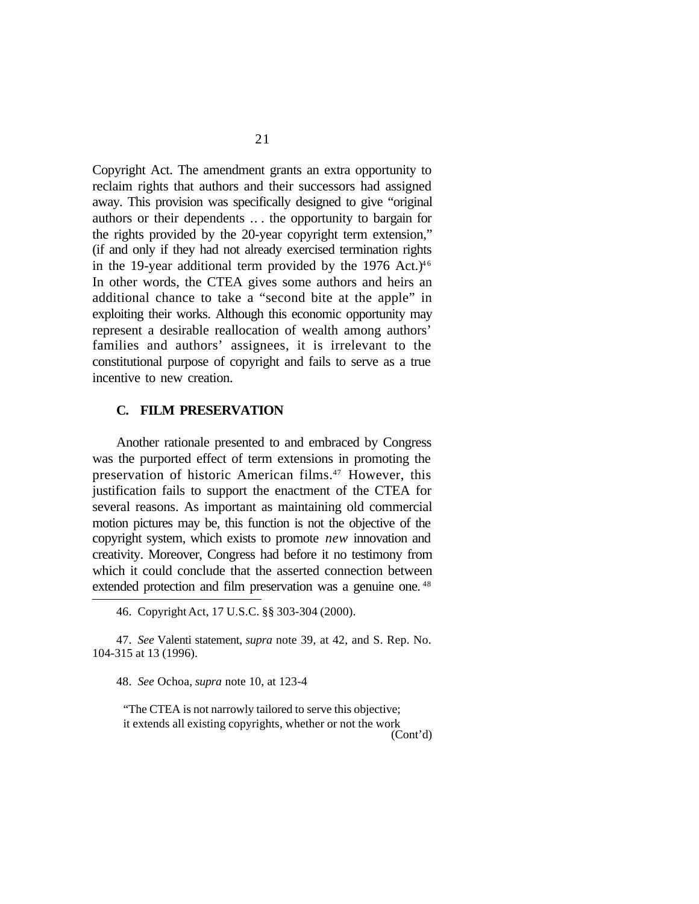Copyright Act. The amendment grants an extra opportunity to reclaim rights that authors and their successors had assigned away. This provision was specifically designed to give "original authors or their dependents .. . the opportunity to bargain for the rights provided by the 20-year copyright term extension," (if and only if they had not already exercised termination rights in the 19-year additional term provided by the 1976 Act.) $46$ In other words, the CTEA gives some authors and heirs an additional chance to take a "second bite at the apple" in exploiting their works. Although this economic opportunity may represent a desirable reallocation of wealth among authors' families and authors' assignees, it is irrelevant to the constitutional purpose of copyright and fails to serve as a true incentive to new creation.

### **C. FILM PRESERVATION**

Another rationale presented to and embraced by Congress was the purported effect of term extensions in promoting the preservation of historic American films.47 However, this justification fails to support the enactment of the CTEA for several reasons. As important as maintaining old commercial motion pictures may be, this function is not the objective of the copyright system, which exists to promote *new* innovation and creativity. Moreover, Congress had before it no testimony from which it could conclude that the asserted connection between extended protection and film preservation was a genuine one.<sup>48</sup>

47. *See* Valenti statement, *supra* note 39, at 42, and S. Rep. No. 104-315 at 13 (1996).

48. *See* Ochoa, *supra* note 10, at 123-4

"The CTEA is not narrowly tailored to serve this objective; it extends all existing copyrights, whether or not the work (Cont'd)

21

<sup>46.</sup> Copyright Act, 17 U.S.C. §§ 303-304 (2000).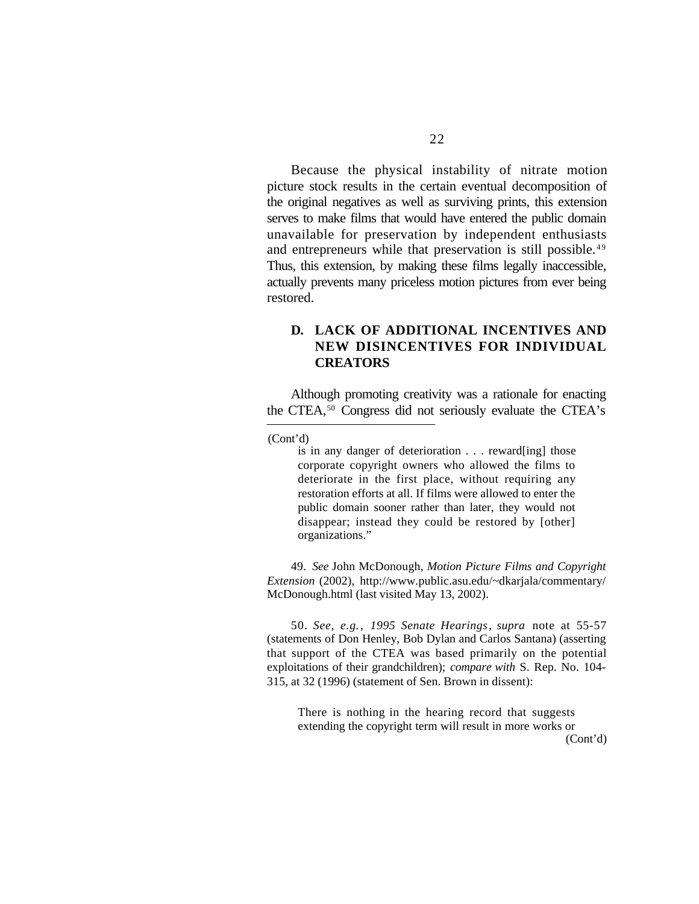Because the physical instability of nitrate motion picture stock results in the certain eventual decomposition of the original negatives as well as surviving prints, this extension serves to make films that would have entered the public domain unavailable for preservation by independent enthusiasts and entrepreneurs while that preservation is still possible.<sup>49</sup> Thus, this extension, by making these films legally inaccessible, actually prevents many priceless motion pictures from ever being restored.

### **D. LACK OF ADDITIONAL INCENTIVES AND NEW DISINCENTIVES FOR INDIVIDUAL CREATORS**

Although promoting creativity was a rationale for enacting the CTEA,<sup>50</sup> Congress did not seriously evaluate the CTEA's

(Cont'd)

is in any danger of deterioration . . . reward[ing] those corporate copyright owners who allowed the films to deteriorate in the first place, without requiring any restoration efforts at all. If films were allowed to enter the public domain sooner rather than later, they would not disappear; instead they could be restored by [other] organizations."

49. *See* John McDonough, *Motion Picture Films and Copyright Extension* (2002), http://www.public.asu.edu/~dkarjala/commentary/ McDonough.html (last visited May 13, 2002).

50. *See, e.g.*, *1995 Senate Hearings*, *supra* note at 55-57 (statements of Don Henley, Bob Dylan and Carlos Santana) (asserting that support of the CTEA was based primarily on the potential exploitations of their grandchildren); *compare with* S. Rep. No. 104- 315, at 32 (1996) (statement of Sen. Brown in dissent):

There is nothing in the hearing record that suggests extending the copyright term will result in more works or (Cont'd)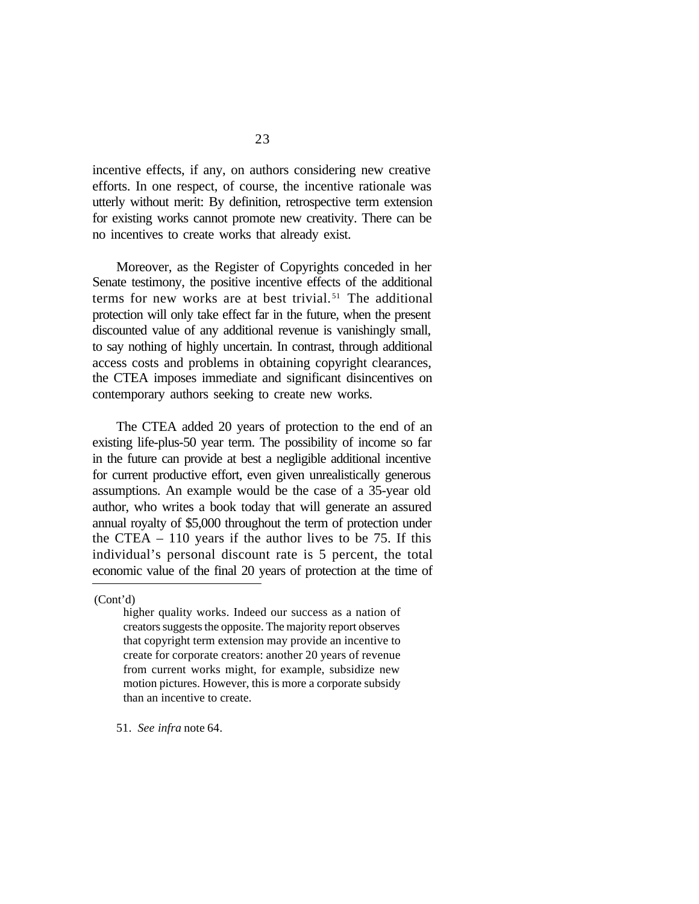incentive effects, if any, on authors considering new creative efforts. In one respect, of course, the incentive rationale was utterly without merit: By definition, retrospective term extension for existing works cannot promote new creativity. There can be no incentives to create works that already exist.

Moreover, as the Register of Copyrights conceded in her Senate testimony, the positive incentive effects of the additional terms for new works are at best trivial.<sup>51</sup> The additional protection will only take effect far in the future, when the present discounted value of any additional revenue is vanishingly small, to say nothing of highly uncertain. In contrast, through additional access costs and problems in obtaining copyright clearances, the CTEA imposes immediate and significant disincentives on contemporary authors seeking to create new works.

The CTEA added 20 years of protection to the end of an existing life-plus-50 year term. The possibility of income so far in the future can provide at best a negligible additional incentive for current productive effort, even given unrealistically generous assumptions. An example would be the case of a 35-year old author, who writes a book today that will generate an assured annual royalty of \$5,000 throughout the term of protection under the CTEA – 110 years if the author lives to be 75. If this individual's personal discount rate is 5 percent, the total economic value of the final 20 years of protection at the time of

51. *See infra* note 64.

<sup>(</sup>Cont'd)

higher quality works. Indeed our success as a nation of creators suggests the opposite. The majority report observes that copyright term extension may provide an incentive to create for corporate creators: another 20 years of revenue from current works might, for example, subsidize new motion pictures. However, this is more a corporate subsidy than an incentive to create.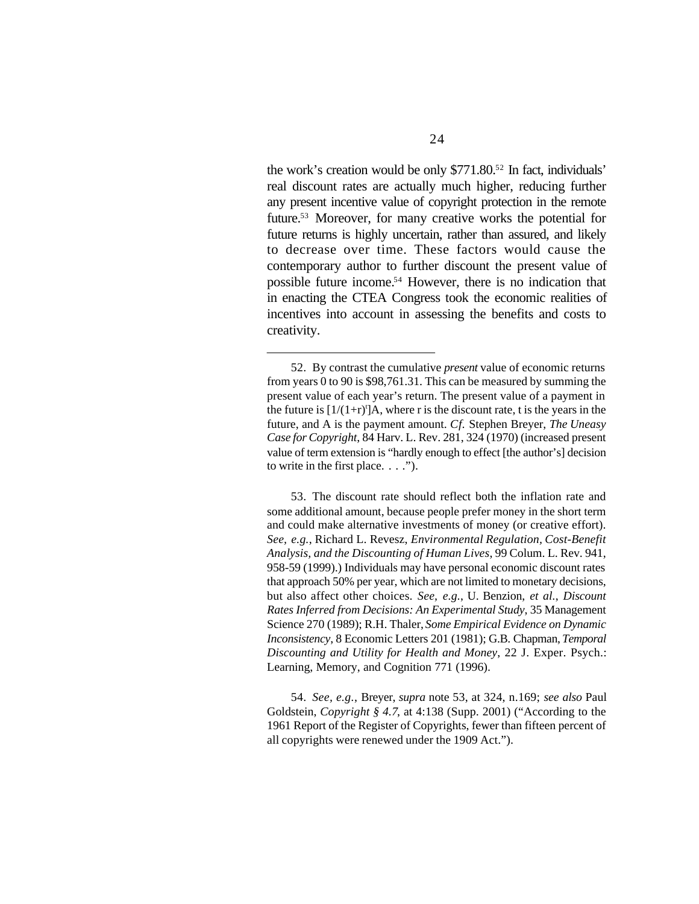the work's creation would be only \$771.80.52 In fact, individuals' real discount rates are actually much higher, reducing further any present incentive value of copyright protection in the remote future.53 Moreover, for many creative works the potential for future returns is highly uncertain, rather than assured, and likely to decrease over time. These factors would cause the contemporary author to further discount the present value of possible future income.54 However, there is no indication that in enacting the CTEA Congress took the economic realities of incentives into account in assessing the benefits and costs to creativity.

53. The discount rate should reflect both the inflation rate and some additional amount, because people prefer money in the short term and could make alternative investments of money (or creative effort). *See, e.g.*, Richard L. Revesz, *Environmental Regulation, Cost-Benefit Analysis, and the Discounting of Human Lives*, 99 Colum. L. Rev. 941, 958-59 (1999).) Individuals may have personal economic discount rates that approach 50% per year, which are not limited to monetary decisions, but also affect other choices. *See, e.g.*, U. Benzion, *et al.*, *Discount Rates Inferred from Decisions: An Experimental Study*, 35 Management Science 270 (1989); R.H. Thaler, *Some Empirical Evidence on Dynamic Inconsistency*, 8 Economic Letters 201 (1981); G.B. Chapman, *Temporal Discounting and Utility for Health and Money*, 22 J. Exper. Psych.: Learning, Memory, and Cognition 771 (1996).

54. *See, e.g.*, Breyer, *supra* note 53, at 324, n.169; *see also* Paul Goldstein, *Copyright § 4.7*, at 4:138 (Supp. 2001) ("According to the 1961 Report of the Register of Copyrights, fewer than fifteen percent of all copyrights were renewed under the 1909 Act.").

<sup>52.</sup> By contrast the cumulative *present* value of economic returns from years 0 to 90 is \$98,761.31. This can be measured by summing the present value of each year's return. The present value of a payment in the future is  $[1/(1+r)^t]A$ , where r is the discount rate, t is the years in the future, and A is the payment amount. *Cf.* Stephen Breyer, *The Uneasy Case for Copyright*, 84 Harv. L. Rev. 281, 324 (1970) (increased present value of term extension is "hardly enough to effect [the author's] decision to write in the first place. . . .").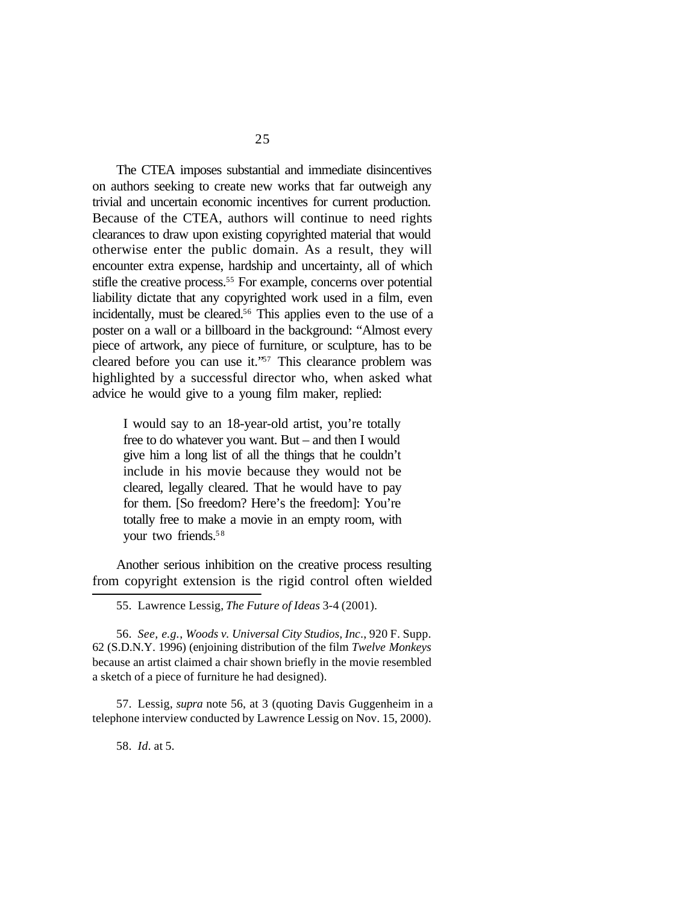The CTEA imposes substantial and immediate disincentives on authors seeking to create new works that far outweigh any trivial and uncertain economic incentives for current production. Because of the CTEA, authors will continue to need rights clearances to draw upon existing copyrighted material that would otherwise enter the public domain. As a result, they will encounter extra expense, hardship and uncertainty, all of which stifle the creative process.<sup>55</sup> For example, concerns over potential liability dictate that any copyrighted work used in a film, even incidentally, must be cleared.<sup>56</sup> This applies even to the use of a poster on a wall or a billboard in the background: "Almost every piece of artwork, any piece of furniture, or sculpture, has to be cleared before you can use it."57 This clearance problem was highlighted by a successful director who, when asked what advice he would give to a young film maker, replied:

I would say to an 18-year-old artist, you're totally free to do whatever you want. But – and then I would give him a long list of all the things that he couldn't include in his movie because they would not be cleared, legally cleared. That he would have to pay for them. [So freedom? Here's the freedom]: You're totally free to make a movie in an empty room, with your two friends.<sup>58</sup>

Another serious inhibition on the creative process resulting from copyright extension is the rigid control often wielded

56. *See, e.g.*, *Woods v. Universal City Studios, Inc*., 920 F. Supp. 62 (S.D.N.Y. 1996) (enjoining distribution of the film *Twelve Monkeys* because an artist claimed a chair shown briefly in the movie resembled a sketch of a piece of furniture he had designed).

57. Lessig, *supra* note 56, at 3 (quoting Davis Guggenheim in a telephone interview conducted by Lawrence Lessig on Nov. 15, 2000).

58. *Id.* at 5.

<sup>55.</sup> Lawrence Lessig, *The Future of Ideas* 3-4 (2001).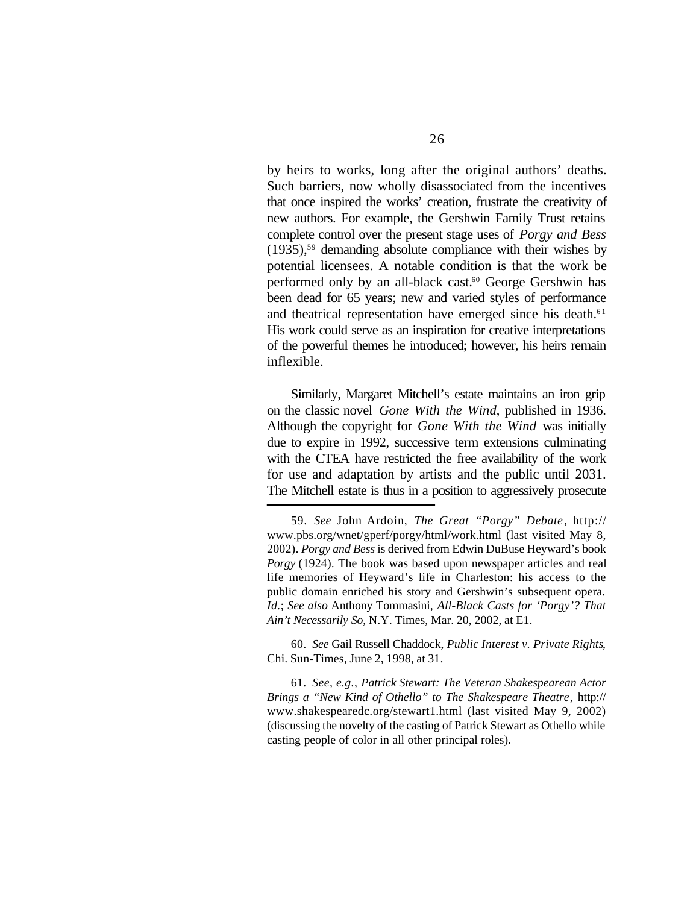by heirs to works, long after the original authors' deaths. Such barriers, now wholly disassociated from the incentives that once inspired the works' creation, frustrate the creativity of new authors. For example, the Gershwin Family Trust retains complete control over the present stage uses of *Porgy and Bess*  $(1935)$ ,<sup>59</sup> demanding absolute compliance with their wishes by potential licensees. A notable condition is that the work be performed only by an all-black cast.<sup>60</sup> George Gershwin has been dead for 65 years; new and varied styles of performance and theatrical representation have emerged since his death.<sup>61</sup> His work could serve as an inspiration for creative interpretations of the powerful themes he introduced; however, his heirs remain inflexible.

Similarly, Margaret Mitchell's estate maintains an iron grip on the classic novel *Gone With the Wind*, published in 1936. Although the copyright for *Gone With the Wind* was initially due to expire in 1992, successive term extensions culminating with the CTEA have restricted the free availability of the work for use and adaptation by artists and the public until 2031. The Mitchell estate is thus in a position to aggressively prosecute

60. *See* Gail Russell Chaddock, *Public Interest v. Private Rights*, Chi. Sun-Times, June 2, 1998, at 31.

61. *See, e.g.*, *Patrick Stewart: The Veteran Shakespearean Actor Brings a "New Kind of Othello" to The Shakespeare Theatre*, http:// www.shakespearedc.org/stewart1.html (last visited May 9, 2002) (discussing the novelty of the casting of Patrick Stewart as Othello while casting people of color in all other principal roles).

<sup>59.</sup> *See* John Ardoin, *The Great "Porgy" Debate*, http:// www.pbs.org/wnet/gperf/porgy/html/work.html (last visited May 8, 2002). *Porgy and Bess* is derived from Edwin DuBuse Heyward's book *Porgy* (1924). The book was based upon newspaper articles and real life memories of Heyward's life in Charleston: his access to the public domain enriched his story and Gershwin's subsequent opera. *Id*.; *See also* Anthony Tommasini, *All-Black Casts for 'Porgy'? That Ain't Necessarily So*, N.Y. Times, Mar. 20, 2002, at E1.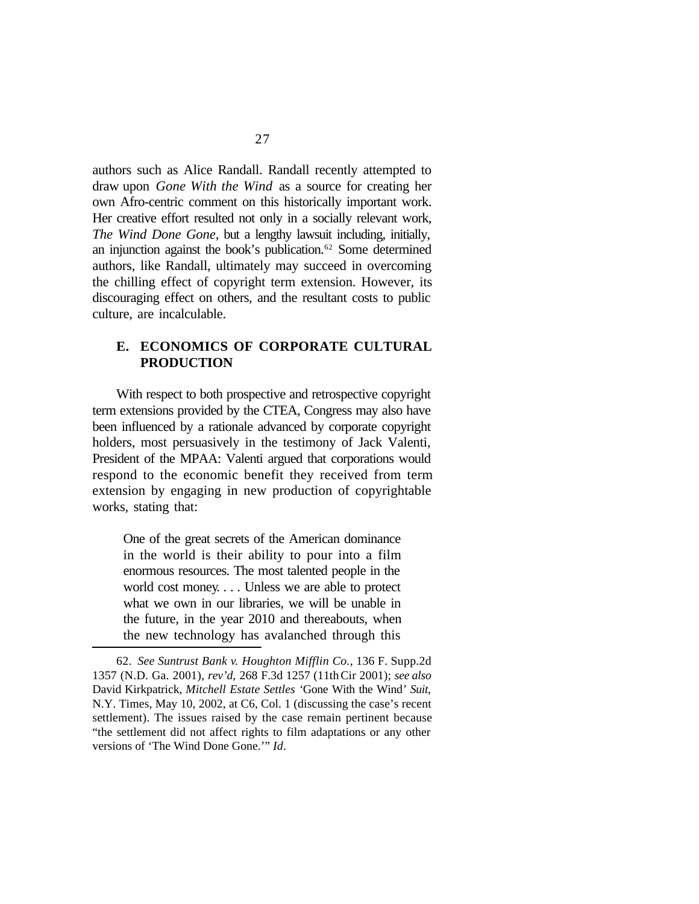authors such as Alice Randall. Randall recently attempted to draw upon *Gone With the Wind* as a source for creating her own Afro-centric comment on this historically important work. Her creative effort resulted not only in a socially relevant work, *The Wind Done Gone*, but a lengthy lawsuit including, initially, an injunction against the book's publication.<sup>62</sup> Some determined authors, like Randall, ultimately may succeed in overcoming the chilling effect of copyright term extension. However, its discouraging effect on others, and the resultant costs to public culture, are incalculable.

### **E. ECONOMICS OF CORPORATE CULTURAL PRODUCTION**

With respect to both prospective and retrospective copyright term extensions provided by the CTEA, Congress may also have been influenced by a rationale advanced by corporate copyright holders, most persuasively in the testimony of Jack Valenti, President of the MPAA: Valenti argued that corporations would respond to the economic benefit they received from term extension by engaging in new production of copyrightable works, stating that:

One of the great secrets of the American dominance in the world is their ability to pour into a film enormous resources. The most talented people in the world cost money. . . . Unless we are able to protect what we own in our libraries, we will be unable in the future, in the year 2010 and thereabouts, when the new technology has avalanched through this

<sup>62.</sup> *See Suntrust Bank v. Houghton Mifflin Co.*, 136 F. Supp.2d 1357 (N.D. Ga. 2001), *rev'd*, 268 F.3d 1257 (11thCir 2001); *see also* David Kirkpatrick, *Mitchell Estate Settles '*Gone With the Wind*' Suit*, N.Y. Times, May 10, 2002, at C6, Col. 1 (discussing the case's recent settlement). The issues raised by the case remain pertinent because "the settlement did not affect rights to film adaptations or any other versions of 'The Wind Done Gone.'" *Id*.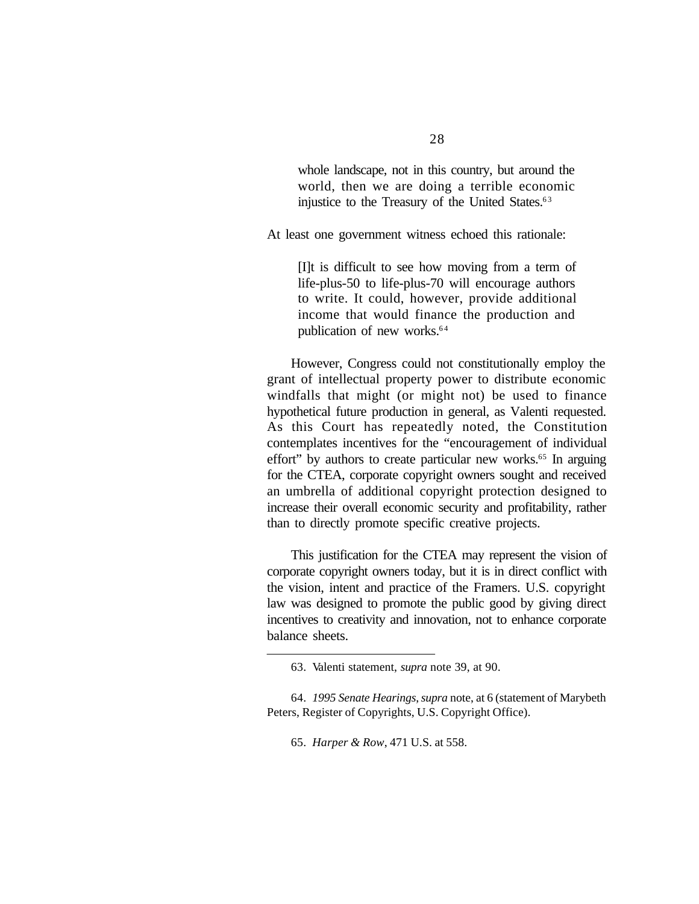whole landscape, not in this country, but around the world, then we are doing a terrible economic injustice to the Treasury of the United States.<sup>63</sup>

At least one government witness echoed this rationale:

[I]t is difficult to see how moving from a term of life-plus-50 to life-plus-70 will encourage authors to write. It could, however, provide additional income that would finance the production and publication of new works.<sup>64</sup>

However, Congress could not constitutionally employ the grant of intellectual property power to distribute economic windfalls that might (or might not) be used to finance hypothetical future production in general, as Valenti requested. As this Court has repeatedly noted, the Constitution contemplates incentives for the "encouragement of individual effort" by authors to create particular new works.<sup>65</sup> In arguing for the CTEA, corporate copyright owners sought and received an umbrella of additional copyright protection designed to increase their overall economic security and profitability, rather than to directly promote specific creative projects.

This justification for the CTEA may represent the vision of corporate copyright owners today, but it is in direct conflict with the vision, intent and practice of the Framers. U.S. copyright law was designed to promote the public good by giving direct incentives to creativity and innovation, not to enhance corporate balance sheets.

<sup>63.</sup> Valenti statement, *supra* note 39, at 90.

<sup>64.</sup> *1995 Senate Hearings*, *supra* note, at 6 (statement of Marybeth Peters, Register of Copyrights, U.S. Copyright Office).

<sup>65.</sup> *Harper & Row*, 471 U.S. at 558.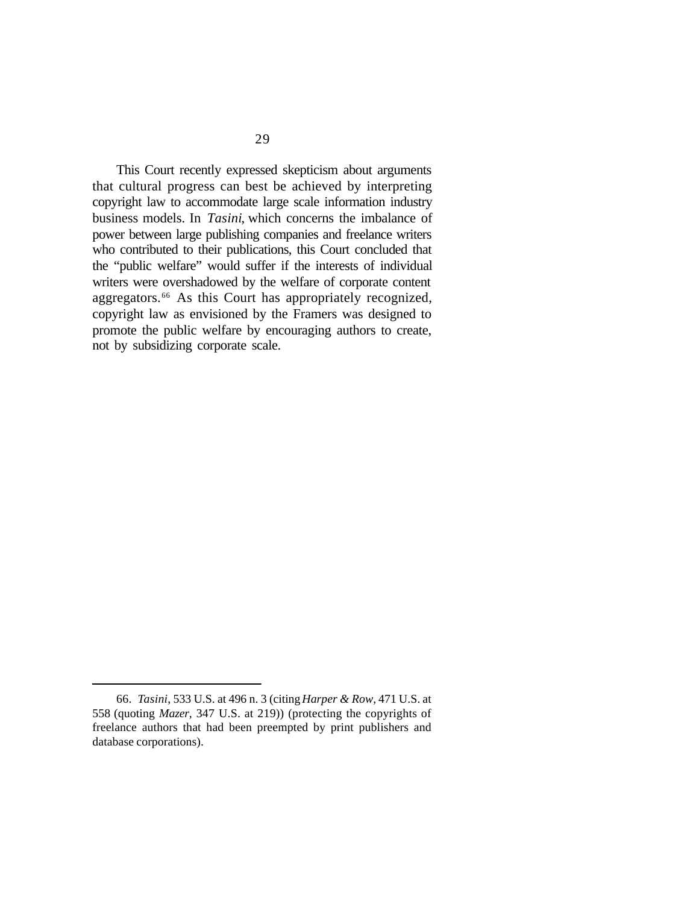This Court recently expressed skepticism about arguments that cultural progress can best be achieved by interpreting copyright law to accommodate large scale information industry business models. In *Tasini*, which concerns the imbalance of power between large publishing companies and freelance writers who contributed to their publications, this Court concluded that the "public welfare" would suffer if the interests of individual writers were overshadowed by the welfare of corporate content aggregators.<sup>66</sup> As this Court has appropriately recognized, copyright law as envisioned by the Framers was designed to promote the public welfare by encouraging authors to create, not by subsidizing corporate scale.

<sup>66.</sup> *Tasini*, 533 U.S. at 496 n. 3 (citing *Harper & Row*, 471 U.S. at 558 (quoting *Mazer*, 347 U.S. at 219)) (protecting the copyrights of freelance authors that had been preempted by print publishers and database corporations).